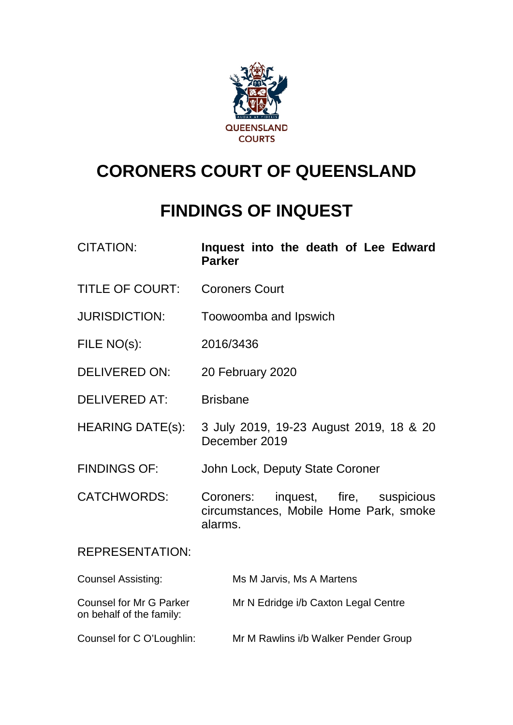

# **CORONERS COURT OF QUEENSLAND**

# **FINDINGS OF INQUEST**

| <b>CITATION:</b>                                           | Inquest into the death of Lee Edward<br><b>Parker</b>                                       |
|------------------------------------------------------------|---------------------------------------------------------------------------------------------|
| <b>TITLE OF COURT:</b>                                     | <b>Coroners Court</b>                                                                       |
| <b>JURISDICTION:</b>                                       | Toowoomba and Ipswich                                                                       |
| FILE NO(s):                                                | 2016/3436                                                                                   |
| <b>DELIVERED ON:</b>                                       | 20 February 2020                                                                            |
| <b>DELIVERED AT:</b>                                       | <b>Brisbane</b>                                                                             |
| <b>HEARING DATE(s):</b>                                    | 3 July 2019, 19-23 August 2019, 18 & 20<br>December 2019                                    |
| <b>FINDINGS OF:</b>                                        | John Lock, Deputy State Coroner                                                             |
| <b>CATCHWORDS:</b>                                         | inquest, fire, suspicious<br>Coroners:<br>circumstances, Mobile Home Park, smoke<br>alarms. |
| <b>REPRESENTATION:</b>                                     |                                                                                             |
| <b>Counsel Assisting:</b>                                  | Ms M Jarvis, Ms A Martens                                                                   |
| <b>Counsel for Mr G Parker</b><br>on behalf of the family: | Mr N Edridge i/b Caxton Legal Centre                                                        |
| Counsel for C O'Loughlin:                                  | Mr M Rawlins i/b Walker Pender Group                                                        |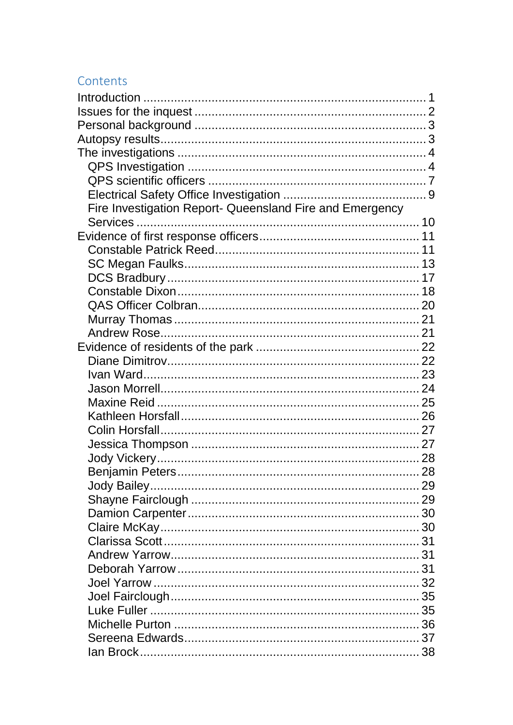# Contents

| Fire Investigation Report- Queensland Fire and Emergency |
|----------------------------------------------------------|
|                                                          |
|                                                          |
|                                                          |
|                                                          |
|                                                          |
|                                                          |
|                                                          |
|                                                          |
|                                                          |
|                                                          |
|                                                          |
|                                                          |
|                                                          |
|                                                          |
|                                                          |
|                                                          |
|                                                          |
|                                                          |
|                                                          |
|                                                          |
|                                                          |
|                                                          |
|                                                          |
|                                                          |
|                                                          |
|                                                          |
|                                                          |
|                                                          |
|                                                          |
|                                                          |
|                                                          |
|                                                          |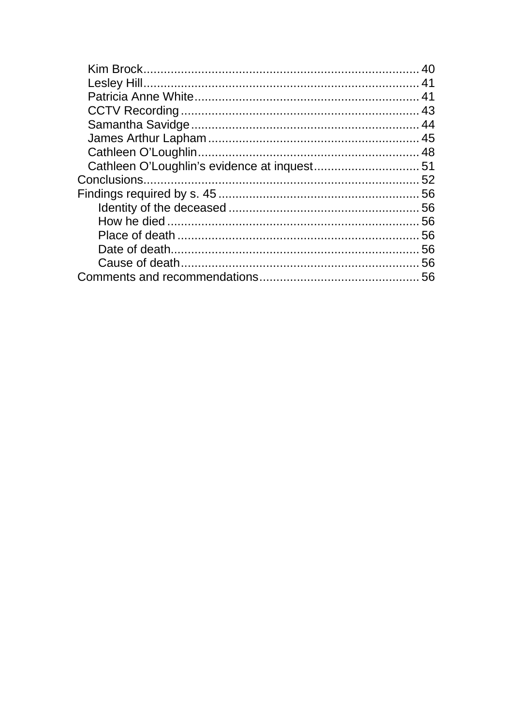<span id="page-2-0"></span>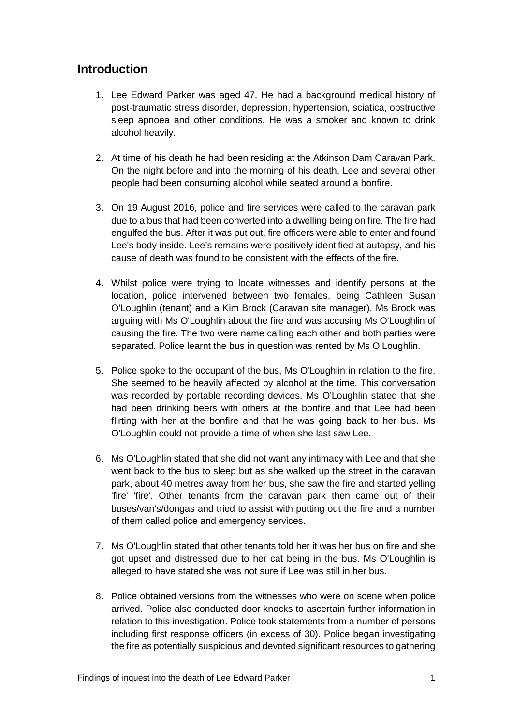# **Introduction**

- 1. Lee Edward Parker was aged 47. He had a background medical history of post-traumatic stress disorder, depression, hypertension, sciatica, obstructive sleep apnoea and other conditions. He was a smoker and known to drink alcohol heavily.
- 2. At time of his death he had been residing at the Atkinson Dam Caravan Park. On the night before and into the morning of his death, Lee and several other people had been consuming alcohol while seated around a bonfire.
- 3. On 19 August 2016, police and fire services were called to the caravan park due to a bus that had been converted into a dwelling being on fire. The fire had engulfed the bus. After it was put out, fire officers were able to enter and found Lee's body inside. Lee's remains were positively identified at autopsy, and his cause of death was found to be consistent with the effects of the fire.
- 4. Whilst police were trying to locate witnesses and identify persons at the location, police intervened between two females, being Cathleen Susan O'Loughlin (tenant) and a Kim Brock (Caravan site manager). Ms Brock was arguing with Ms O'Loughlin about the fire and was accusing Ms O'Loughlin of causing the fire. The two were name calling each other and both parties were separated. Police learnt the bus in question was rented by Ms O'Loughlin.
- 5. Police spoke to the occupant of the bus, Ms O'Loughlin in relation to the fire. She seemed to be heavily affected by alcohol at the time. This conversation was recorded by portable recording devices. Ms O'Loughlin stated that she had been drinking beers with others at the bonfire and that Lee had been flirting with her at the bonfire and that he was going back to her bus. Ms O'Loughlin could not provide a time of when she last saw Lee.
- 6. Ms O'Loughlin stated that she did not want any intimacy with Lee and that she went back to the bus to sleep but as she walked up the street in the caravan park, about 40 metres away from her bus, she saw the fire and started yelling 'fire' 'fire'. Other tenants from the caravan park then came out of their buses/van's/dongas and tried to assist with putting out the fire and a number of them called police and emergency services.
- 7. Ms O'Loughlin stated that other tenants told her it was her bus on fire and she got upset and distressed due to her cat being in the bus. Ms O'Loughlin is alleged to have stated she was not sure if Lee was still in her bus.
- 8. Police obtained versions from the witnesses who were on scene when police arrived. Police also conducted door knocks to ascertain further information in relation to this investigation. Police took statements from a number of persons including first response officers (in excess of 30). Police began investigating the fire as potentially suspicious and devoted significant resources to gathering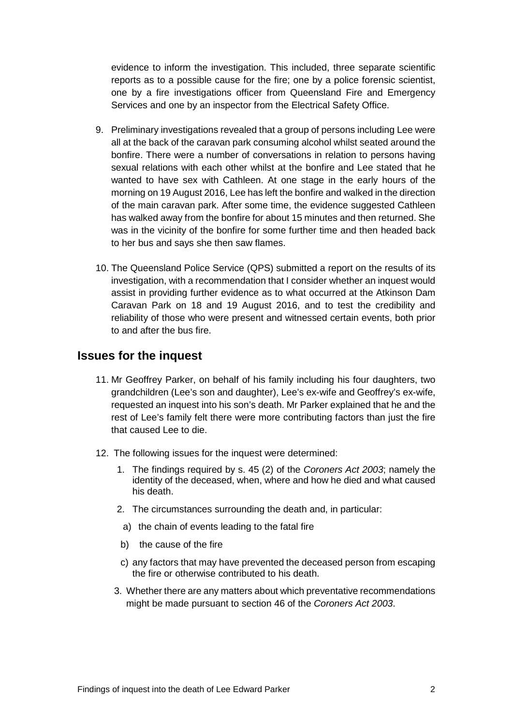evidence to inform the investigation. This included, three separate scientific reports as to a possible cause for the fire; one by a police forensic scientist, one by a fire investigations officer from Queensland Fire and Emergency Services and one by an inspector from the Electrical Safety Office.

- 9. Preliminary investigations revealed that a group of persons including Lee were all at the back of the caravan park consuming alcohol whilst seated around the bonfire. There were a number of conversations in relation to persons having sexual relations with each other whilst at the bonfire and Lee stated that he wanted to have sex with Cathleen. At one stage in the early hours of the morning on 19 August 2016, Lee has left the bonfire and walked in the direction of the main caravan park. After some time, the evidence suggested Cathleen has walked away from the bonfire for about 15 minutes and then returned. She was in the vicinity of the bonfire for some further time and then headed back to her bus and says she then saw flames.
- 10. The Queensland Police Service (QPS) submitted a report on the results of its investigation, with a recommendation that I consider whether an inquest would assist in providing further evidence as to what occurred at the Atkinson Dam Caravan Park on 18 and 19 August 2016, and to test the credibility and reliability of those who were present and witnessed certain events, both prior to and after the bus fire.

# <span id="page-4-0"></span>**Issues for the inquest**

- 11. Mr Geoffrey Parker, on behalf of his family including his four daughters, two grandchildren (Lee's son and daughter), Lee's ex-wife and Geoffrey's ex-wife, requested an inquest into his son's death. Mr Parker explained that he and the rest of Lee's family felt there were more contributing factors than just the fire that caused Lee to die.
- <span id="page-4-1"></span>12. The following issues for the inquest were determined:
	- 1. The findings required by s. 45 (2) of the *Coroners Act 2003*; namely the identity of the deceased, when, where and how he died and what caused his death.
	- 2. The circumstances surrounding the death and, in particular:
		- a) the chain of events leading to the fatal fire
	- b) the cause of the fire
	- c) any factors that may have prevented the deceased person from escaping the fire or otherwise contributed to his death.
	- 3. Whether there are any matters about which preventative recommendations might be made pursuant to section 46 of the *Coroners Act 2003*.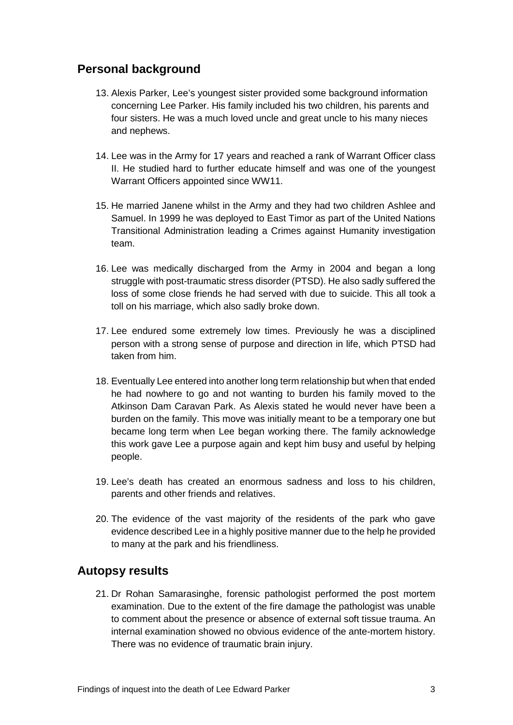# **Personal background**

- 13. Alexis Parker, Lee's youngest sister provided some background information concerning Lee Parker. His family included his two children, his parents and four sisters. He was a much loved uncle and great uncle to his many nieces and nephews.
- 14. Lee was in the Army for 17 years and reached a rank of Warrant Officer class II. He studied hard to further educate himself and was one of the youngest Warrant Officers appointed since WW11.
- 15. He married Janene whilst in the Army and they had two children Ashlee and Samuel. In 1999 he was deployed to East Timor as part of the United Nations Transitional Administration leading a Crimes against Humanity investigation team.
- 16. Lee was medically discharged from the Army in 2004 and began a long struggle with post-traumatic stress disorder (PTSD). He also sadly suffered the loss of some close friends he had served with due to suicide. This all took a toll on his marriage, which also sadly broke down.
- 17. Lee endured some extremely low times. Previously he was a disciplined person with a strong sense of purpose and direction in life, which PTSD had taken from him.
- 18. Eventually Lee entered into another long term relationship but when that ended he had nowhere to go and not wanting to burden his family moved to the Atkinson Dam Caravan Park. As Alexis stated he would never have been a burden on the family. This move was initially meant to be a temporary one but became long term when Lee began working there. The family acknowledge this work gave Lee a purpose again and kept him busy and useful by helping people.
- 19. Lee's death has created an enormous sadness and loss to his children, parents and other friends and relatives.
- 20. The evidence of the vast majority of the residents of the park who gave evidence described Lee in a highly positive manner due to the help he provided to many at the park and his friendliness.

# <span id="page-5-0"></span>**Autopsy results**

21. Dr Rohan Samarasinghe, forensic pathologist performed the post mortem examination. Due to the extent of the fire damage the pathologist was unable to comment about the presence or absence of external soft tissue trauma. An internal examination showed no obvious evidence of the ante-mortem history. There was no evidence of traumatic brain injury.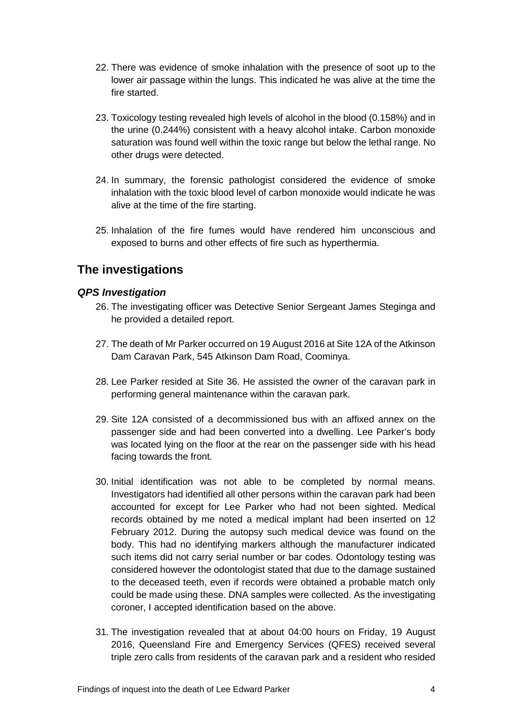- 22. There was evidence of smoke inhalation with the presence of soot up to the lower air passage within the lungs. This indicated he was alive at the time the fire started.
- 23. Toxicology testing revealed high levels of alcohol in the blood (0.158%) and in the urine (0.244%) consistent with a heavy alcohol intake. Carbon monoxide saturation was found well within the toxic range but below the lethal range. No other drugs were detected.
- 24. In summary, the forensic pathologist considered the evidence of smoke inhalation with the toxic blood level of carbon monoxide would indicate he was alive at the time of the fire starting.
- 25. Inhalation of the fire fumes would have rendered him unconscious and exposed to burns and other effects of fire such as hyperthermia.

# <span id="page-6-0"></span>**The investigations**

# <span id="page-6-1"></span>*QPS Investigation*

- 26. The investigating officer was Detective Senior Sergeant James Steginga and he provided a detailed report.
- 27. The death of Mr Parker occurred on 19 August 2016 at Site 12A of the Atkinson Dam Caravan Park, 545 Atkinson Dam Road, Coominya.
- 28. Lee Parker resided at Site 36. He assisted the owner of the caravan park in performing general maintenance within the caravan park.
- 29. Site 12A consisted of a decommissioned bus with an affixed annex on the passenger side and had been converted into a dwelling. Lee Parker's body was located lying on the floor at the rear on the passenger side with his head facing towards the front.
- 30. Initial identification was not able to be completed by normal means. Investigators had identified all other persons within the caravan park had been accounted for except for Lee Parker who had not been sighted. Medical records obtained by me noted a medical implant had been inserted on 12 February 2012. During the autopsy such medical device was found on the body. This had no identifying markers although the manufacturer indicated such items did not carry serial number or bar codes. Odontology testing was considered however the odontologist stated that due to the damage sustained to the deceased teeth, even if records were obtained a probable match only could be made using these. DNA samples were collected. As the investigating coroner, I accepted identification based on the above.
- 31. The investigation revealed that at about 04:00 hours on Friday, 19 August 2016, Queensland Fire and Emergency Services (QFES) received several triple zero calls from residents of the caravan park and a resident who resided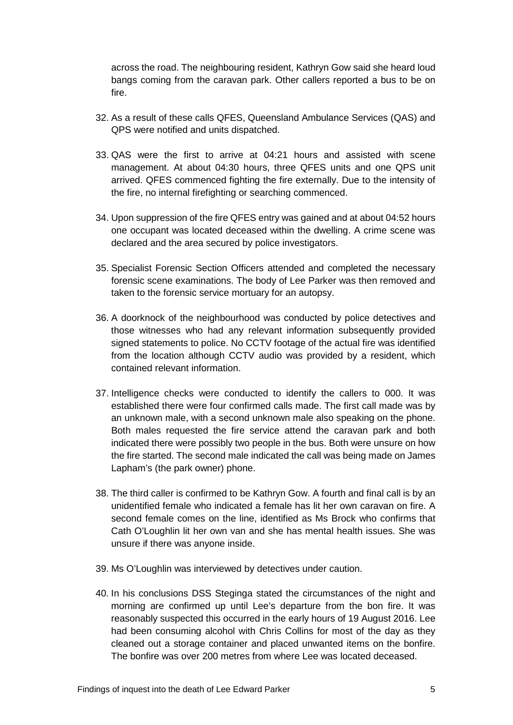across the road. The neighbouring resident, Kathryn Gow said she heard loud bangs coming from the caravan park. Other callers reported a bus to be on fire.

- 32. As a result of these calls QFES, Queensland Ambulance Services (QAS) and QPS were notified and units dispatched.
- 33. QAS were the first to arrive at 04:21 hours and assisted with scene management. At about 04:30 hours, three QFES units and one QPS unit arrived. QFES commenced fighting the fire externally. Due to the intensity of the fire, no internal firefighting or searching commenced.
- 34. Upon suppression of the fire QFES entry was gained and at about 04:52 hours one occupant was located deceased within the dwelling. A crime scene was declared and the area secured by police investigators.
- 35. Specialist Forensic Section Officers attended and completed the necessary forensic scene examinations. The body of Lee Parker was then removed and taken to the forensic service mortuary for an autopsy.
- 36. A doorknock of the neighbourhood was conducted by police detectives and those witnesses who had any relevant information subsequently provided signed statements to police. No CCTV footage of the actual fire was identified from the location although CCTV audio was provided by a resident, which contained relevant information.
- 37. Intelligence checks were conducted to identify the callers to 000. It was established there were four confirmed calls made. The first call made was by an unknown male, with a second unknown male also speaking on the phone. Both males requested the fire service attend the caravan park and both indicated there were possibly two people in the bus. Both were unsure on how the fire started. The second male indicated the call was being made on James Lapham's (the park owner) phone.
- 38. The third caller is confirmed to be Kathryn Gow. A fourth and final call is by an unidentified female who indicated a female has lit her own caravan on fire. A second female comes on the line, identified as Ms Brock who confirms that Cath O'Loughlin lit her own van and she has mental health issues. She was unsure if there was anyone inside.
- 39. Ms O'Loughlin was interviewed by detectives under caution.
- 40. In his conclusions DSS Steginga stated the circumstances of the night and morning are confirmed up until Lee's departure from the bon fire. It was reasonably suspected this occurred in the early hours of 19 August 2016. Lee had been consuming alcohol with Chris Collins for most of the day as they cleaned out a storage container and placed unwanted items on the bonfire. The bonfire was over 200 metres from where Lee was located deceased.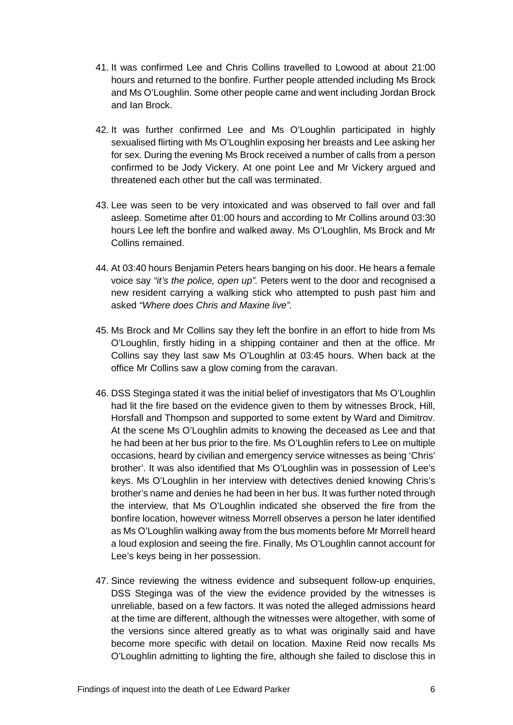- 41. It was confirmed Lee and Chris Collins travelled to Lowood at about 21:00 hours and returned to the bonfire. Further people attended including Ms Brock and Ms O'Loughlin. Some other people came and went including Jordan Brock and Ian Brock.
- 42. It was further confirmed Lee and Ms O'Loughlin participated in highly sexualised flirting with Ms O'Loughlin exposing her breasts and Lee asking her for sex. During the evening Ms Brock received a number of calls from a person confirmed to be Jody Vickery. At one point Lee and Mr Vickery argued and threatened each other but the call was terminated.
- 43. Lee was seen to be very intoxicated and was observed to fall over and fall asleep. Sometime after 01:00 hours and according to Mr Collins around 03:30 hours Lee left the bonfire and walked away. Ms O'Loughlin, Ms Brock and Mr Collins remained.
- 44. At 03:40 hours Benjamin Peters hears banging on his door. He hears a female voice say *"it's the police, open up".* Peters went to the door and recognised a new resident carrying a walking stick who attempted to push past him and asked *"Where does Chris and Maxine live".*
- 45. Ms Brock and Mr Collins say they left the bonfire in an effort to hide from Ms O'Loughlin, firstly hiding in a shipping container and then at the office. Mr Collins say they last saw Ms O'Loughlin at 03:45 hours. When back at the office Mr Collins saw a glow coming from the caravan.
- 46. DSS Steginga stated it was the initial belief of investigators that Ms O'Loughlin had lit the fire based on the evidence given to them by witnesses Brock, Hill, Horsfall and Thompson and supported to some extent by Ward and Dimitrov. At the scene Ms O'Loughlin admits to knowing the deceased as Lee and that he had been at her bus prior to the fire. Ms O'Loughlin refers to Lee on multiple occasions, heard by civilian and emergency service witnesses as being 'Chris' brother'. It was also identified that Ms O'Loughlin was in possession of Lee's keys. Ms O'Loughlin in her interview with detectives denied knowing Chris's brother's name and denies he had been in her bus. It was further noted through the interview, that Ms O'Loughlin indicated she observed the fire from the bonfire location, however witness Morrell observes a person he later identified as Ms O'Loughlin walking away from the bus moments before Mr Morrell heard a loud explosion and seeing the fire. Finally, Ms O'Loughlin cannot account for Lee's keys being in her possession.
- 47. Since reviewing the witness evidence and subsequent follow-up enquiries, DSS Steginga was of the view the evidence provided by the witnesses is unreliable, based on a few factors. It was noted the alleged admissions heard at the time are different, although the witnesses were altogether, with some of the versions since altered greatly as to what was originally said and have become more specific with detail on location. Maxine Reid now recalls Ms O'Loughlin admitting to lighting the fire, although she failed to disclose this in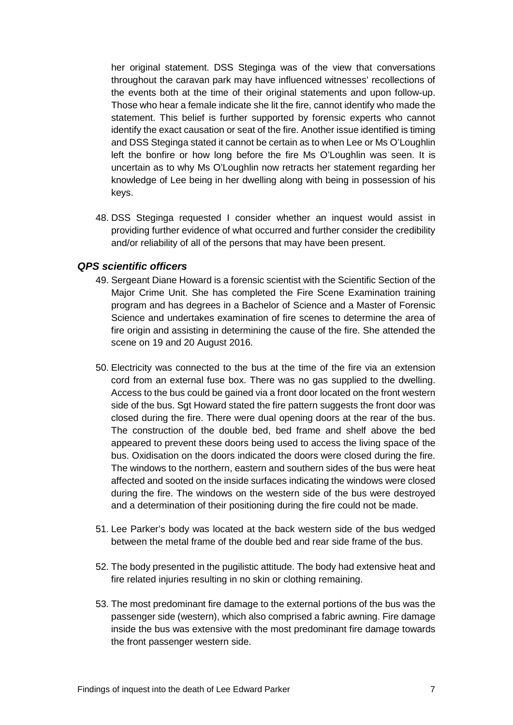her original statement. DSS Steginga was of the view that conversations throughout the caravan park may have influenced witnesses' recollections of the events both at the time of their original statements and upon follow-up. Those who hear a female indicate she lit the fire, cannot identify who made the statement. This belief is further supported by forensic experts who cannot identify the exact causation or seat of the fire. Another issue identified is timing and DSS Steginga stated it cannot be certain as to when Lee or Ms O'Loughlin left the bonfire or how long before the fire Ms O'Loughlin was seen. It is uncertain as to why Ms O'Loughlin now retracts her statement regarding her knowledge of Lee being in her dwelling along with being in possession of his keys.

48. DSS Steginga requested I consider whether an inquest would assist in providing further evidence of what occurred and further consider the credibility and/or reliability of all of the persons that may have been present.

# <span id="page-9-0"></span>*QPS scientific officers*

- 49. Sergeant Diane Howard is a forensic scientist with the Scientific Section of the Major Crime Unit. She has completed the Fire Scene Examination training program and has degrees in a Bachelor of Science and a Master of Forensic Science and undertakes examination of fire scenes to determine the area of fire origin and assisting in determining the cause of the fire. She attended the scene on 19 and 20 August 2016.
- 50. Electricity was connected to the bus at the time of the fire via an extension cord from an external fuse box. There was no gas supplied to the dwelling. Access to the bus could be gained via a front door located on the front western side of the bus. Sgt Howard stated the fire pattern suggests the front door was closed during the fire. There were dual opening doors at the rear of the bus. The construction of the double bed, bed frame and shelf above the bed appeared to prevent these doors being used to access the living space of the bus. Oxidisation on the doors indicated the doors were closed during the fire. The windows to the northern, eastern and southern sides of the bus were heat affected and sooted on the inside surfaces indicating the windows were closed during the fire. The windows on the western side of the bus were destroyed and a determination of their positioning during the fire could not be made.
- 51. Lee Parker's body was located at the back western side of the bus wedged between the metal frame of the double bed and rear side frame of the bus.
- 52. The body presented in the pugilistic attitude. The body had extensive heat and fire related injuries resulting in no skin or clothing remaining.
- 53. The most predominant fire damage to the external portions of the bus was the passenger side (western), which also comprised a fabric awning. Fire damage inside the bus was extensive with the most predominant fire damage towards the front passenger western side.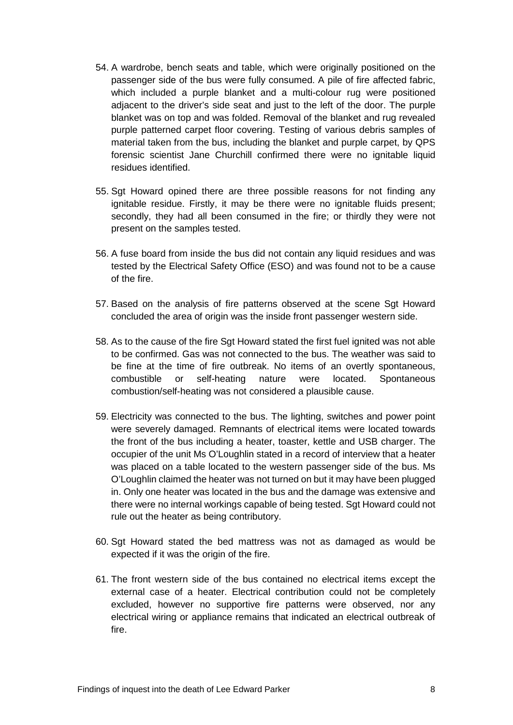- 54. A wardrobe, bench seats and table, which were originally positioned on the passenger side of the bus were fully consumed. A pile of fire affected fabric, which included a purple blanket and a multi-colour rug were positioned adjacent to the driver's side seat and just to the left of the door. The purple blanket was on top and was folded. Removal of the blanket and rug revealed purple patterned carpet floor covering. Testing of various debris samples of material taken from the bus, including the blanket and purple carpet, by QPS forensic scientist Jane Churchill confirmed there were no ignitable liquid residues identified.
- 55. Sgt Howard opined there are three possible reasons for not finding any ignitable residue. Firstly, it may be there were no ignitable fluids present; secondly, they had all been consumed in the fire; or thirdly they were not present on the samples tested.
- 56. A fuse board from inside the bus did not contain any liquid residues and was tested by the Electrical Safety Office (ESO) and was found not to be a cause of the fire.
- 57. Based on the analysis of fire patterns observed at the scene Sgt Howard concluded the area of origin was the inside front passenger western side.
- 58. As to the cause of the fire Sgt Howard stated the first fuel ignited was not able to be confirmed. Gas was not connected to the bus. The weather was said to be fine at the time of fire outbreak. No items of an overtly spontaneous, combustible or self-heating nature were located. Spontaneous combustion/self-heating was not considered a plausible cause.
- 59. Electricity was connected to the bus. The lighting, switches and power point were severely damaged. Remnants of electrical items were located towards the front of the bus including a heater, toaster, kettle and USB charger. The occupier of the unit Ms O'Loughlin stated in a record of interview that a heater was placed on a table located to the western passenger side of the bus. Ms O'Loughlin claimed the heater was not turned on but it may have been plugged in. Only one heater was located in the bus and the damage was extensive and there were no internal workings capable of being tested. Sgt Howard could not rule out the heater as being contributory.
- 60. Sgt Howard stated the bed mattress was not as damaged as would be expected if it was the origin of the fire.
- 61. The front western side of the bus contained no electrical items except the external case of a heater. Electrical contribution could not be completely excluded, however no supportive fire patterns were observed, nor any electrical wiring or appliance remains that indicated an electrical outbreak of fire.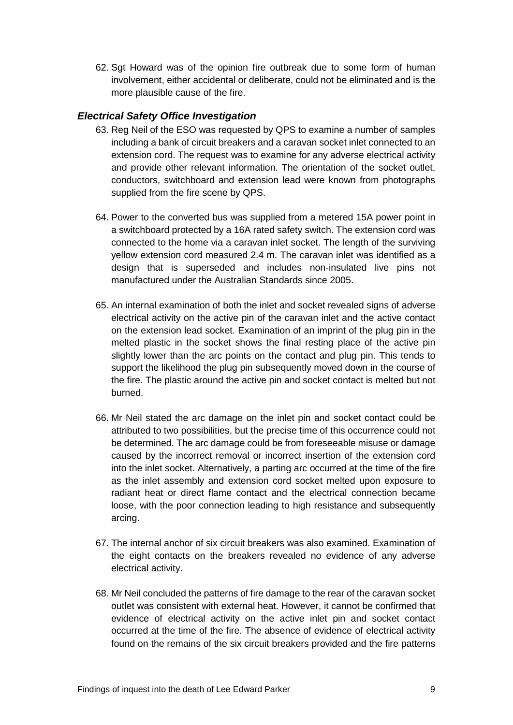62. Sgt Howard was of the opinion fire outbreak due to some form of human involvement, either accidental or deliberate, could not be eliminated and is the more plausible cause of the fire.

# <span id="page-11-0"></span>*Electrical Safety Office Investigation*

- 63. Reg Neil of the ESO was requested by QPS to examine a number of samples including a bank of circuit breakers and a caravan socket inlet connected to an extension cord. The request was to examine for any adverse electrical activity and provide other relevant information. The orientation of the socket outlet, conductors, switchboard and extension lead were known from photographs supplied from the fire scene by QPS.
- 64. Power to the converted bus was supplied from a metered 15A power point in a switchboard protected by a 16A rated safety switch. The extension cord was connected to the home via a caravan inlet socket. The length of the surviving yellow extension cord measured 2.4 m. The caravan inlet was identified as a design that is superseded and includes non-insulated live pins not manufactured under the Australian Standards since 2005.
- 65. An internal examination of both the inlet and socket revealed signs of adverse electrical activity on the active pin of the caravan inlet and the active contact on the extension lead socket. Examination of an imprint of the plug pin in the melted plastic in the socket shows the final resting place of the active pin slightly lower than the arc points on the contact and plug pin. This tends to support the likelihood the plug pin subsequently moved down in the course of the fire. The plastic around the active pin and socket contact is melted but not burned.
- 66. Mr Neil stated the arc damage on the inlet pin and socket contact could be attributed to two possibilities, but the precise time of this occurrence could not be determined. The arc damage could be from foreseeable misuse or damage caused by the incorrect removal or incorrect insertion of the extension cord into the inlet socket. Alternatively, a parting arc occurred at the time of the fire as the inlet assembly and extension cord socket melted upon exposure to radiant heat or direct flame contact and the electrical connection became loose, with the poor connection leading to high resistance and subsequently arcing.
- 67. The internal anchor of six circuit breakers was also examined. Examination of the eight contacts on the breakers revealed no evidence of any adverse electrical activity.
- 68. Mr Neil concluded the patterns of fire damage to the rear of the caravan socket outlet was consistent with external heat. However, it cannot be confirmed that evidence of electrical activity on the active inlet pin and socket contact occurred at the time of the fire. The absence of evidence of electrical activity found on the remains of the six circuit breakers provided and the fire patterns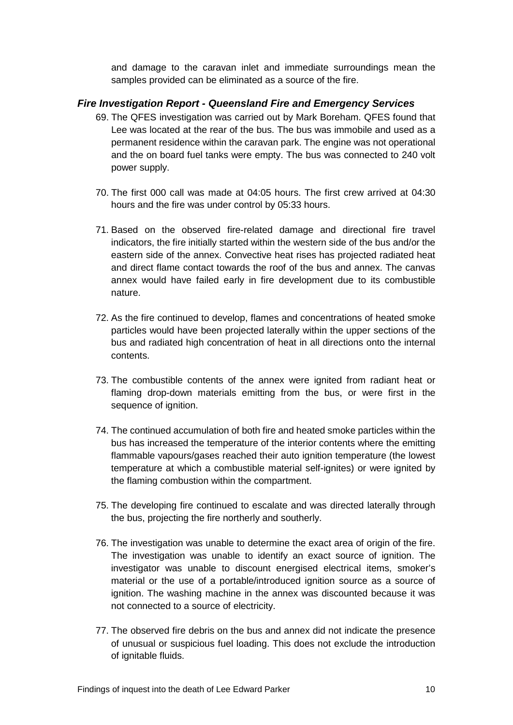and damage to the caravan inlet and immediate surroundings mean the samples provided can be eliminated as a source of the fire.

# <span id="page-12-0"></span>*Fire Investigation Report - Queensland Fire and Emergency Services*

- 69. The QFES investigation was carried out by Mark Boreham. QFES found that Lee was located at the rear of the bus. The bus was immobile and used as a permanent residence within the caravan park. The engine was not operational and the on board fuel tanks were empty. The bus was connected to 240 volt power supply.
- 70. The first 000 call was made at 04:05 hours. The first crew arrived at 04:30 hours and the fire was under control by 05:33 hours.
- 71. Based on the observed fire-related damage and directional fire travel indicators, the fire initially started within the western side of the bus and/or the eastern side of the annex. Convective heat rises has projected radiated heat and direct flame contact towards the roof of the bus and annex. The canvas annex would have failed early in fire development due to its combustible nature.
- 72. As the fire continued to develop, flames and concentrations of heated smoke particles would have been projected laterally within the upper sections of the bus and radiated high concentration of heat in all directions onto the internal contents.
- 73. The combustible contents of the annex were ignited from radiant heat or flaming drop-down materials emitting from the bus, or were first in the sequence of ignition.
- 74. The continued accumulation of both fire and heated smoke particles within the bus has increased the temperature of the interior contents where the emitting flammable vapours/gases reached their auto ignition temperature (the lowest temperature at which a combustible material self-ignites) or were ignited by the flaming combustion within the compartment.
- 75. The developing fire continued to escalate and was directed laterally through the bus, projecting the fire northerly and southerly.
- 76. The investigation was unable to determine the exact area of origin of the fire. The investigation was unable to identify an exact source of ignition. The investigator was unable to discount energised electrical items, smoker's material or the use of a portable/introduced ignition source as a source of ignition. The washing machine in the annex was discounted because it was not connected to a source of electricity.
- 77. The observed fire debris on the bus and annex did not indicate the presence of unusual or suspicious fuel loading. This does not exclude the introduction of ignitable fluids.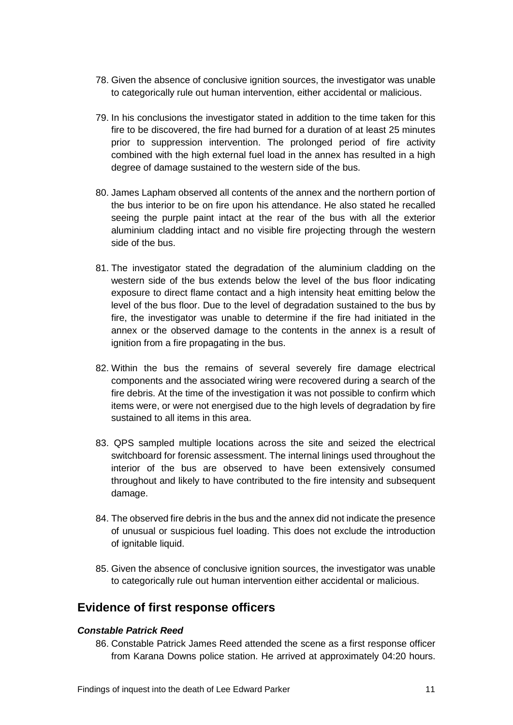- 78. Given the absence of conclusive ignition sources, the investigator was unable to categorically rule out human intervention, either accidental or malicious.
- 79. In his conclusions the investigator stated in addition to the time taken for this fire to be discovered, the fire had burned for a duration of at least 25 minutes prior to suppression intervention. The prolonged period of fire activity combined with the high external fuel load in the annex has resulted in a high degree of damage sustained to the western side of the bus.
- 80. James Lapham observed all contents of the annex and the northern portion of the bus interior to be on fire upon his attendance. He also stated he recalled seeing the purple paint intact at the rear of the bus with all the exterior aluminium cladding intact and no visible fire projecting through the western side of the bus.
- 81. The investigator stated the degradation of the aluminium cladding on the western side of the bus extends below the level of the bus floor indicating exposure to direct flame contact and a high intensity heat emitting below the level of the bus floor. Due to the level of degradation sustained to the bus by fire, the investigator was unable to determine if the fire had initiated in the annex or the observed damage to the contents in the annex is a result of ignition from a fire propagating in the bus.
- 82. Within the bus the remains of several severely fire damage electrical components and the associated wiring were recovered during a search of the fire debris. At the time of the investigation it was not possible to confirm which items were, or were not energised due to the high levels of degradation by fire sustained to all items in this area.
- 83. QPS sampled multiple locations across the site and seized the electrical switchboard for forensic assessment. The internal linings used throughout the interior of the bus are observed to have been extensively consumed throughout and likely to have contributed to the fire intensity and subsequent damage.
- 84. The observed fire debris in the bus and the annex did not indicate the presence of unusual or suspicious fuel loading. This does not exclude the introduction of ignitable liquid.
- 85. Given the absence of conclusive ignition sources, the investigator was unable to categorically rule out human intervention either accidental or malicious.

# <span id="page-13-0"></span>**Evidence of first response officers**

# <span id="page-13-1"></span>*Constable Patrick Reed*

86. Constable Patrick James Reed attended the scene as a first response officer from Karana Downs police station. He arrived at approximately 04:20 hours.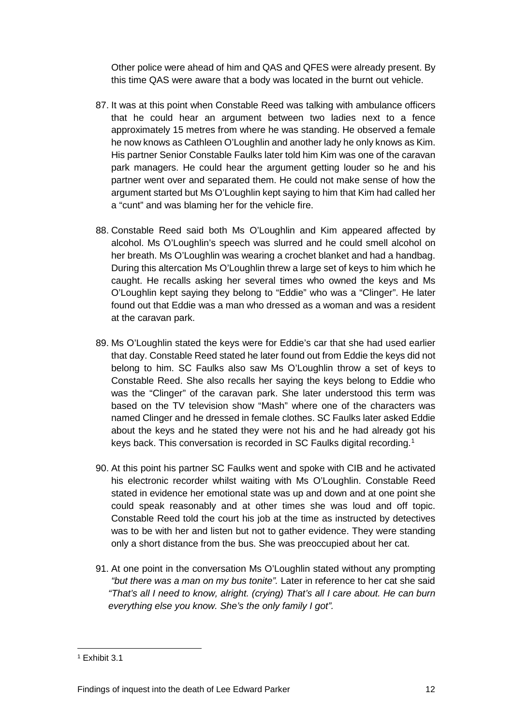Other police were ahead of him and QAS and QFES were already present. By this time QAS were aware that a body was located in the burnt out vehicle.

- 87. It was at this point when Constable Reed was talking with ambulance officers that he could hear an argument between two ladies next to a fence approximately 15 metres from where he was standing. He observed a female he now knows as Cathleen O'Loughlin and another lady he only knows as Kim. His partner Senior Constable Faulks later told him Kim was one of the caravan park managers. He could hear the argument getting louder so he and his partner went over and separated them. He could not make sense of how the argument started but Ms O'Loughlin kept saying to him that Kim had called her a "cunt" and was blaming her for the vehicle fire.
- 88. Constable Reed said both Ms O'Loughlin and Kim appeared affected by alcohol. Ms O'Loughlin's speech was slurred and he could smell alcohol on her breath. Ms O'Loughlin was wearing a crochet blanket and had a handbag. During this altercation Ms O'Loughlin threw a large set of keys to him which he caught. He recalls asking her several times who owned the keys and Ms O'Loughlin kept saying they belong to "Eddie" who was a "Clinger". He later found out that Eddie was a man who dressed as a woman and was a resident at the caravan park.
- 89. Ms O'Loughlin stated the keys were for Eddie's car that she had used earlier that day. Constable Reed stated he later found out from Eddie the keys did not belong to him. SC Faulks also saw Ms O'Loughlin throw a set of keys to Constable Reed. She also recalls her saying the keys belong to Eddie who was the "Clinger" of the caravan park. She later understood this term was based on the TV television show "Mash" where one of the characters was named Clinger and he dressed in female clothes. SC Faulks later asked Eddie about the keys and he stated they were not his and he had already got his keys back. This conversation is recorded in SC Faulks digital recording.<sup>1</sup>
- 90. At this point his partner SC Faulks went and spoke with CIB and he activated his electronic recorder whilst waiting with Ms O'Loughlin. Constable Reed stated in evidence her emotional state was up and down and at one point she could speak reasonably and at other times she was loud and off topic. Constable Reed told the court his job at the time as instructed by detectives was to be with her and listen but not to gather evidence. They were standing only a short distance from the bus. She was preoccupied about her cat.
- 91. At one point in the conversation Ms O'Loughlin stated without any prompting *"but there was a man on my bus tonite".* Later in reference to her cat she said *"That's all I need to know, alright. (crying) That's all I care about. He can burn everything else you know. She's the only family I got".*

 $\overline{a}$ 

<span id="page-14-0"></span><sup>1</sup> Exhibit 3.1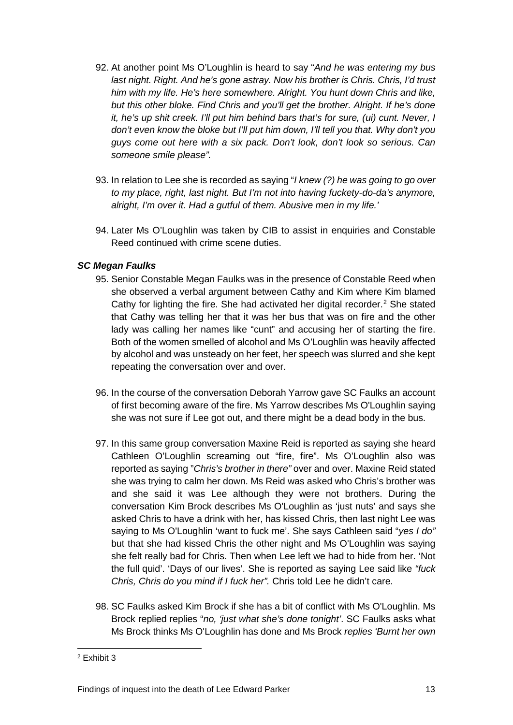- 92. At another point Ms O'Loughlin is heard to say "*And he was entering my bus last night. Right. And he's gone astray. Now his brother is Chris. Chris, I'd trust him with my life. He's here somewhere. Alright. You hunt down Chris and like, but this other bloke. Find Chris and you'll get the brother. Alright. If he's done it, he's up shit creek. I'll put him behind bars that's for sure, (ui) cunt. Never, I don't even know the bloke but I'll put him down, I'll tell you that. Why don't you guys come out here with a six pack. Don't look, don't look so serious. Can someone smile please".*
- 93. In relation to Lee she is recorded as saying "*I knew (?) he was going to go over to my place, right, last night. But I'm not into having fuckety-do-da's anymore, alright, I'm over it. Had a gutful of them. Abusive men in my life.'*
- 94. Later Ms O'Loughlin was taken by CIB to assist in enquiries and Constable Reed continued with crime scene duties.

# <span id="page-15-0"></span>*SC Megan Faulks*

- 95. Senior Constable Megan Faulks was in the presence of Constable Reed when she observed a verbal argument between Cathy and Kim where Kim blamed Cathy for lighting the fire. She had activated her digital recorder.<sup>[2](#page-15-1)</sup> She stated that Cathy was telling her that it was her bus that was on fire and the other lady was calling her names like "cunt" and accusing her of starting the fire. Both of the women smelled of alcohol and Ms O'Loughlin was heavily affected by alcohol and was unsteady on her feet, her speech was slurred and she kept repeating the conversation over and over.
- 96. In the course of the conversation Deborah Yarrow gave SC Faulks an account of first becoming aware of the fire. Ms Yarrow describes Ms O'Loughlin saying she was not sure if Lee got out, and there might be a dead body in the bus.
- 97. In this same group conversation Maxine Reid is reported as saying she heard Cathleen O'Loughlin screaming out "fire, fire". Ms O'Loughlin also was reported as saying "*Chris's brother in there"* over and over. Maxine Reid stated she was trying to calm her down. Ms Reid was asked who Chris's brother was and she said it was Lee although they were not brothers. During the conversation Kim Brock describes Ms O'Loughlin as 'just nuts' and says she asked Chris to have a drink with her, has kissed Chris, then last night Lee was saying to Ms O'Loughlin 'want to fuck me'. She says Cathleen said "*yes I do"* but that she had kissed Chris the other night and Ms O'Loughlin was saying she felt really bad for Chris. Then when Lee left we had to hide from her. 'Not the full quid'. 'Days of our lives'. She is reported as saying Lee said like *"fuck Chris, Chris do you mind if I fuck her".* Chris told Lee he didn't care.
- 98. SC Faulks asked Kim Brock if she has a bit of conflict with Ms O'Loughlin. Ms Brock replied replies "*no, 'just what she's done tonight'*. SC Faulks asks what Ms Brock thinks Ms O'Loughlin has done and Ms Brock *replies 'Burnt her own*

<span id="page-15-1"></span><sup>2</sup> Exhibit 3  $\overline{a}$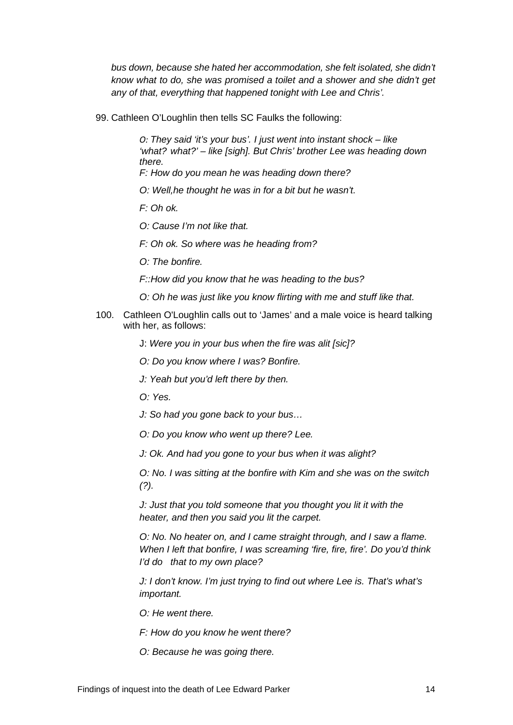*bus down, because she hated her accommodation, she felt isolated, she didn't know what to do, she was promised a toilet and a shower and she didn't get any of that, everything that happened tonight with Lee and Chris'.*

99. Cathleen O'Loughlin then tells SC Faulks the following:

*O: They said 'it's your bus'. I just went into instant shock – like 'what? what?' – like [sigh]. But Chris' brother Lee was heading down there. F: How do you mean he was heading down there?*

*O: Well,he thought he was in for a bit but he wasn't.*

*F: Oh ok.*

*O: Cause I'm not like that.*

*F: Oh ok. So where was he heading from?*

*O: The bonfire.*

*F::How did you know that he was heading to the bus?*

- *O: Oh he was just like you know flirting with me and stuff like that.*
- 100. Cathleen O'Loughlin calls out to 'James' and a male voice is heard talking with her, as follows:

J: *Were you in your bus when the fire was alit [sic]?*

*O: Do you know where I was? Bonfire.*

*J: Yeah but you'd left there by then.*

*O: Yes.*

*J: So had you gone back to your bus…*

*O: Do you know who went up there? Lee.*

*J: Ok. And had you gone to your bus when it was alight?*

*O: No. I was sitting at the bonfire with Kim and she was on the switch (?).*

*J: Just that you told someone that you thought you lit it with the heater, and then you said you lit the carpet.*

*O: No. No heater on, and I came straight through, and I saw a flame. When I left that bonfire, I was screaming 'fire, fire, fire'. Do you'd think I'd do that to my own place?*

*J: I don't know. I'm just trying to find out where Lee is. That's what's important.*

*O: He went there.*

*F: How do you know he went there?*

*O: Because he was going there.*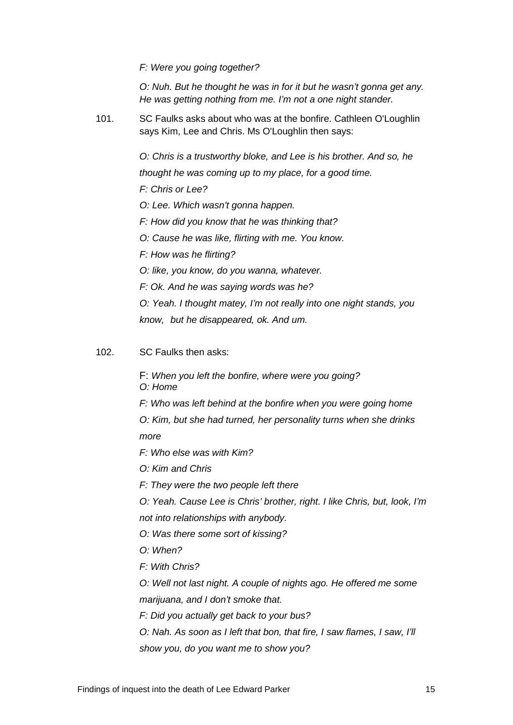*F: Were you going together?*

*O: Nuh. But he thought he was in for it but he wasn't gonna get any. He was getting nothing from me. I'm not a one night stander.*

101. SC Faulks asks about who was at the bonfire. Cathleen O'Loughlin says Kim, Lee and Chris. Ms O'Loughlin then says:

> *O: Chris is a trustworthy bloke, and Lee is his brother. And so, he thought he was coming up to my place, for a good time. F: Chris or Lee? O: Lee. Which wasn't gonna happen. F: How did you know that he was thinking that? O: Cause he was like, flirting with me. You know. F: How was he flirting? O: like, you know, do you wanna, whatever. F: Ok. And he was saying words was he? O: Yeah. I thought matey, I'm not really into one night stands, you know, but he disappeared, ok. And um.*

102. SC Faulks then asks:

F: *When you left the bonfire, where were you going? O: Home F: Who was left behind at the bonfire when you were going home O: Kim, but she had turned, her personality turns when she drinks more F: Who else was with Kim? O: Kim and Chris F: They were the two people left there O: Yeah. Cause Lee is Chris' brother, right. I like Chris, but, look, I'm not into relationships with anybody. O: Was there some sort of kissing?* 

- *O: When?*
- *F: With Chris?*

*O: Well not last night. A couple of nights ago. He offered me some marijuana, and I don't smoke that.*

- *F: Did you actually get back to your bus?*
- *O: Nah. As soon as I left that bon, that fire, I saw flames, I saw, I'll show you, do you want me to show you?*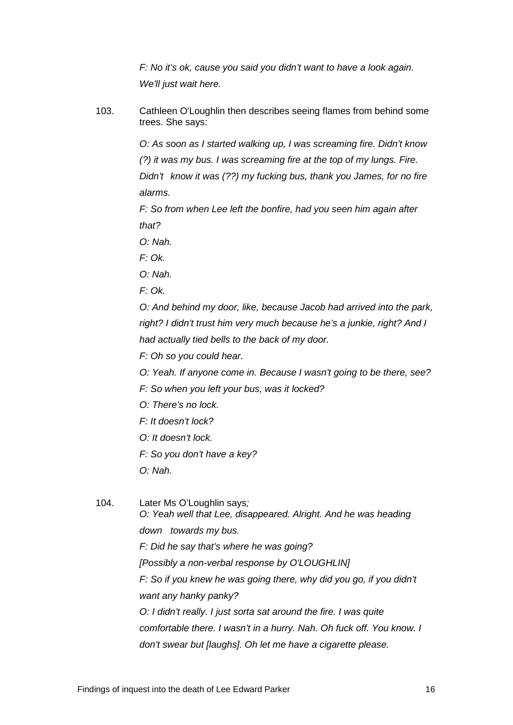*F: No it's ok, cause you said you didn't want to have a look again. We'll just wait here.*

103. Cathleen O'Loughlin then describes seeing flames from behind some trees. She says:

> *O: As soon as I started walking up, I was screaming fire. Didn't know (?) it was my bus. I was screaming fire at the top of my lungs. Fire. Didn't know it was (??) my fucking bus, thank you James, for no fire alarms.*

*F: So from when Lee left the bonfire, had you seen him again after that?*

- *O: Nah.*
- *F: Ok.*
- *O: Nah.*
- *F: Ok.*

*O: And behind my door, like, because Jacob had arrived into the park, right? I didn't trust him very much because he's a junkie, right? And I had actually tied bells to the back of my door.*

- *F: Oh so you could hear.*
- *O: Yeah. If anyone come in. Because I wasn't going to be there, see?*
- *F: So when you left your bus, was it locked?*
- *O: There's no lock.*
- *F: It doesn't lock?*
- *O: It doesn't lock.*
- *F: So you don't have a key?*
- *O: Nah.*

104. Later Ms O'Loughlin says*; O: Yeah well that Lee, disappeared. Alright. And he was heading down towards my bus. F: Did he say that's where he was going? [Possibly a non-verbal response by O'LOUGHLIN] F: So if you knew he was going there, why did you go, if you didn't want any hanky panky? O: I didn't really. I just sorta sat around the fire. I was quite comfortable there. I wasn't in a hurry. Nah. Oh fuck off. You know. I don't swear but [laughs]. Oh let me have a cigarette please.*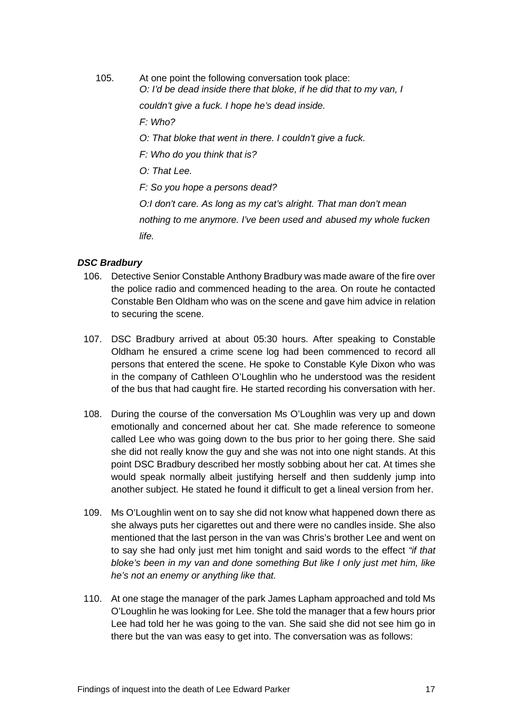105. At one point the following conversation took place: *O: I'd be dead inside there that bloke, if he did that to my van, I* 

*couldn't give a fuck. I hope he's dead inside.*

*F: Who?* 

- *O: That bloke that went in there. I couldn't give a fuck.*
- *F: Who do you think that is?*
- *O: That Lee.*

*F: So you hope a persons dead?* 

*O:I don't care. As long as my cat's alright. That man don't mean nothing to me anymore. I've been used and abused my whole fucken life.*

#### <span id="page-19-0"></span>*DSC Bradbury*

- 106. Detective Senior Constable Anthony Bradbury was made aware of the fire over the police radio and commenced heading to the area. On route he contacted Constable Ben Oldham who was on the scene and gave him advice in relation to securing the scene.
- 107. DSC Bradbury arrived at about 05:30 hours. After speaking to Constable Oldham he ensured a crime scene log had been commenced to record all persons that entered the scene. He spoke to Constable Kyle Dixon who was in the company of Cathleen O'Loughlin who he understood was the resident of the bus that had caught fire. He started recording his conversation with her.
- 108. During the course of the conversation Ms O'Loughlin was very up and down emotionally and concerned about her cat. She made reference to someone called Lee who was going down to the bus prior to her going there. She said she did not really know the guy and she was not into one night stands. At this point DSC Bradbury described her mostly sobbing about her cat. At times she would speak normally albeit justifying herself and then suddenly jump into another subject. He stated he found it difficult to get a lineal version from her.
- 109. Ms O'Loughlin went on to say she did not know what happened down there as she always puts her cigarettes out and there were no candles inside. She also mentioned that the last person in the van was Chris's brother Lee and went on to say she had only just met him tonight and said words to the effect *"if that bloke's been in my van and done something But like I only just met him, like he's not an enemy or anything like that.*
- 110. At one stage the manager of the park James Lapham approached and told Ms O'Loughlin he was looking for Lee. She told the manager that a few hours prior Lee had told her he was going to the van. She said she did not see him go in there but the van was easy to get into. The conversation was as follows: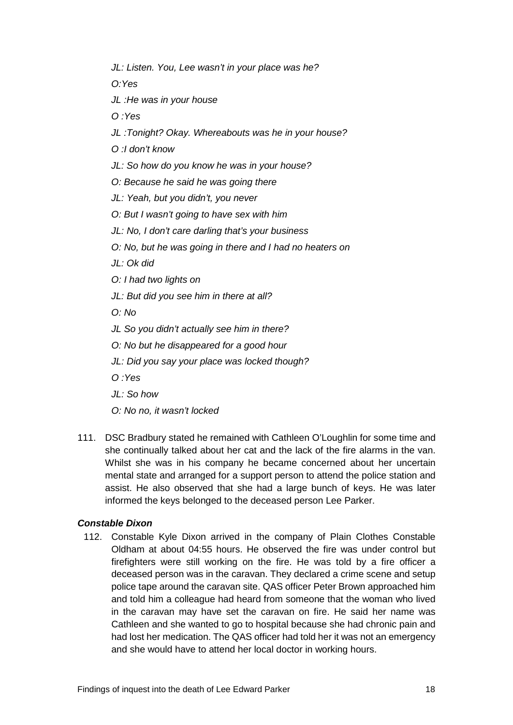*JL: Listen. You, Lee wasn't in your place was he?*

*O:Yes*

*JL :He was in your house*

*O :Yes*

*JL :Tonight? Okay. Whereabouts was he in your house?*

*O :I don't know*

*JL: So how do you know he was in your house?*

*O: Because he said he was going there*

*JL: Yeah, but you didn't, you never*

*O: But I wasn't going to have sex with him*

*JL: No, I don't care darling that's your business*

*O: No, but he was going in there and I had no heaters on*

*JL: Ok did*

*O: I had two lights on*

*JL: But did you see him in there at all?*

*O: No*

*JL So you didn't actually see him in there?*

*O: No but he disappeared for a good hour*

*JL: Did you say your place was locked though?*

*O :Yes*

*JL: So how*

*O: No no, it wasn't locked*

111. DSC Bradbury stated he remained with Cathleen O'Loughlin for some time and she continually talked about her cat and the lack of the fire alarms in the van. Whilst she was in his company he became concerned about her uncertain mental state and arranged for a support person to attend the police station and assist. He also observed that she had a large bunch of keys. He was later informed the keys belonged to the deceased person Lee Parker.

#### <span id="page-20-0"></span>*Constable Dixon*

112. Constable Kyle Dixon arrived in the company of Plain Clothes Constable Oldham at about 04:55 hours. He observed the fire was under control but firefighters were still working on the fire. He was told by a fire officer a deceased person was in the caravan. They declared a crime scene and setup police tape around the caravan site. QAS officer Peter Brown approached him and told him a colleague had heard from someone that the woman who lived in the caravan may have set the caravan on fire. He said her name was Cathleen and she wanted to go to hospital because she had chronic pain and had lost her medication. The QAS officer had told her it was not an emergency and she would have to attend her local doctor in working hours.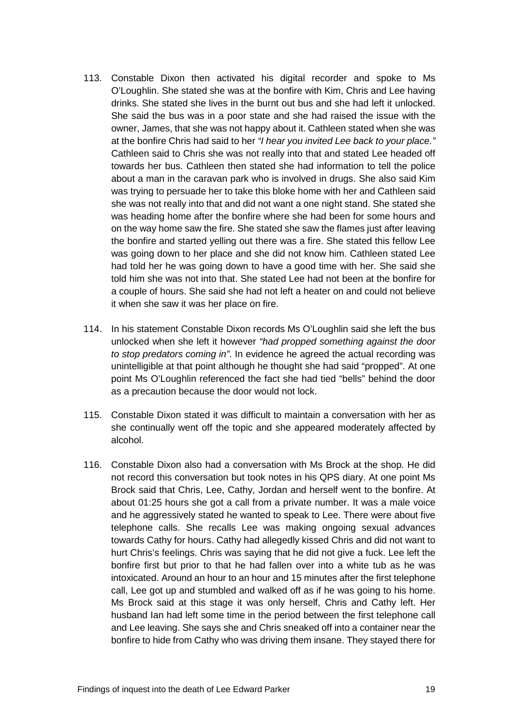- 113. Constable Dixon then activated his digital recorder and spoke to Ms O'Loughlin. She stated she was at the bonfire with Kim, Chris and Lee having drinks. She stated she lives in the burnt out bus and she had left it unlocked. She said the bus was in a poor state and she had raised the issue with the owner, James, that she was not happy about it. Cathleen stated when she was at the bonfire Chris had said to her *"I hear you invited Lee back to your place."*  Cathleen said to Chris she was not really into that and stated Lee headed off towards her bus. Cathleen then stated she had information to tell the police about a man in the caravan park who is involved in drugs. She also said Kim was trying to persuade her to take this bloke home with her and Cathleen said she was not really into that and did not want a one night stand. She stated she was heading home after the bonfire where she had been for some hours and on the way home saw the fire. She stated she saw the flames just after leaving the bonfire and started yelling out there was a fire. She stated this fellow Lee was going down to her place and she did not know him. Cathleen stated Lee had told her he was going down to have a good time with her. She said she told him she was not into that. She stated Lee had not been at the bonfire for a couple of hours. She said she had not left a heater on and could not believe it when she saw it was her place on fire.
- 114. In his statement Constable Dixon records Ms O'Loughlin said she left the bus unlocked when she left it however *"had propped something against the door to stop predators coming in"*. In evidence he agreed the actual recording was unintelligible at that point although he thought she had said "propped". At one point Ms O'Loughlin referenced the fact she had tied "bells" behind the door as a precaution because the door would not lock.
- 115. Constable Dixon stated it was difficult to maintain a conversation with her as she continually went off the topic and she appeared moderately affected by alcohol.
- 116. Constable Dixon also had a conversation with Ms Brock at the shop. He did not record this conversation but took notes in his QPS diary. At one point Ms Brock said that Chris, Lee, Cathy, Jordan and herself went to the bonfire. At about 01:25 hours she got a call from a private number. It was a male voice and he aggressively stated he wanted to speak to Lee. There were about five telephone calls. She recalls Lee was making ongoing sexual advances towards Cathy for hours. Cathy had allegedly kissed Chris and did not want to hurt Chris's feelings. Chris was saying that he did not give a fuck. Lee left the bonfire first but prior to that he had fallen over into a white tub as he was intoxicated. Around an hour to an hour and 15 minutes after the first telephone call, Lee got up and stumbled and walked off as if he was going to his home. Ms Brock said at this stage it was only herself, Chris and Cathy left. Her husband Ian had left some time in the period between the first telephone call and Lee leaving. She says she and Chris sneaked off into a container near the bonfire to hide from Cathy who was driving them insane. They stayed there for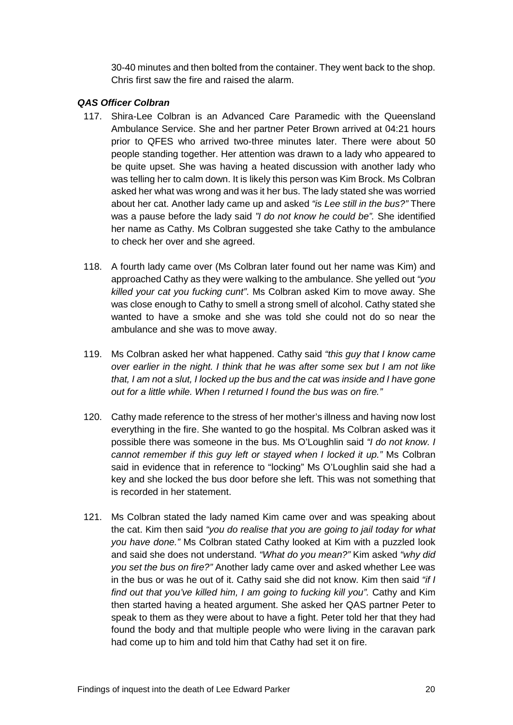30-40 minutes and then bolted from the container. They went back to the shop. Chris first saw the fire and raised the alarm.

# <span id="page-22-0"></span>*QAS Officer Colbran*

- 117. Shira-Lee Colbran is an Advanced Care Paramedic with the Queensland Ambulance Service. She and her partner Peter Brown arrived at 04:21 hours prior to QFES who arrived two-three minutes later. There were about 50 people standing together. Her attention was drawn to a lady who appeared to be quite upset. She was having a heated discussion with another lady who was telling her to calm down. It is likely this person was Kim Brock. Ms Colbran asked her what was wrong and was it her bus. The lady stated she was worried about her cat. Another lady came up and asked *"is Lee still in the bus?"* There was a pause before the lady said *"I do not know he could be".* She identified her name as Cathy. Ms Colbran suggested she take Cathy to the ambulance to check her over and she agreed.
- 118. A fourth lady came over (Ms Colbran later found out her name was Kim) and approached Cathy as they were walking to the ambulance. She yelled out *"you killed your cat you fucking cunt"*. Ms Colbran asked Kim to move away. She was close enough to Cathy to smell a strong smell of alcohol. Cathy stated she wanted to have a smoke and she was told she could not do so near the ambulance and she was to move away.
- 119. Ms Colbran asked her what happened. Cathy said *"this guy that I know came over earlier in the night. I think that he was after some sex but I am not like that, I am not a slut, I locked up the bus and the cat was inside and I have gone out for a little while. When I returned I found the bus was on fire."*
- 120. Cathy made reference to the stress of her mother's illness and having now lost everything in the fire. She wanted to go the hospital. Ms Colbran asked was it possible there was someone in the bus. Ms O'Loughlin said *"I do not know. I cannot remember if this guy left or stayed when I locked it up."* Ms Colbran said in evidence that in reference to "locking" Ms O'Loughlin said she had a key and she locked the bus door before she left. This was not something that is recorded in her statement.
- 121. Ms Colbran stated the lady named Kim came over and was speaking about the cat. Kim then said *"you do realise that you are going to jail today for what you have done."* Ms Colbran stated Cathy looked at Kim with a puzzled look and said she does not understand. *"What do you mean?"* Kim asked *"why did you set the bus on fire?"* Another lady came over and asked whether Lee was in the bus or was he out of it. Cathy said she did not know. Kim then said *"if I find out that you've killed him, I am going to fucking kill you".* Cathy and Kim then started having a heated argument. She asked her QAS partner Peter to speak to them as they were about to have a fight. Peter told her that they had found the body and that multiple people who were living in the caravan park had come up to him and told him that Cathy had set it on fire.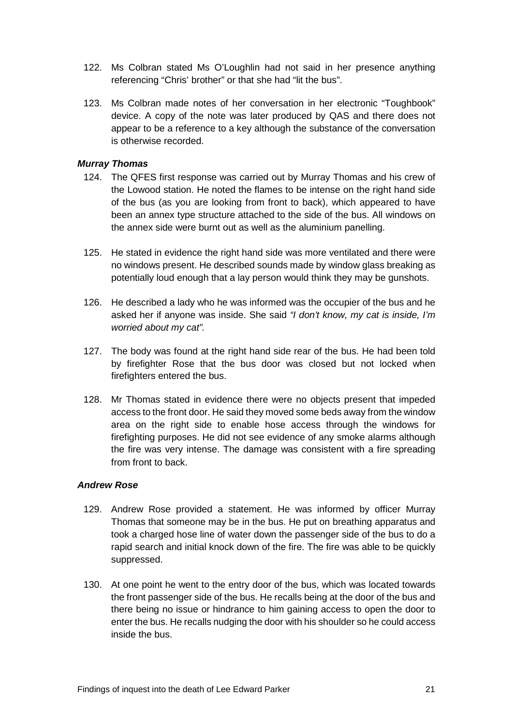- 122. Ms Colbran stated Ms O'Loughlin had not said in her presence anything referencing "Chris' brother" or that she had "lit the bus".
- 123. Ms Colbran made notes of her conversation in her electronic "Toughbook" device. A copy of the note was later produced by QAS and there does not appear to be a reference to a key although the substance of the conversation is otherwise recorded.

# <span id="page-23-0"></span>*Murray Thomas*

- 124. The QFES first response was carried out by Murray Thomas and his crew of the Lowood station. He noted the flames to be intense on the right hand side of the bus (as you are looking from front to back), which appeared to have been an annex type structure attached to the side of the bus. All windows on the annex side were burnt out as well as the aluminium panelling.
- 125. He stated in evidence the right hand side was more ventilated and there were no windows present. He described sounds made by window glass breaking as potentially loud enough that a lay person would think they may be gunshots.
- 126. He described a lady who he was informed was the occupier of the bus and he asked her if anyone was inside. She said *"I don't know, my cat is inside, I'm worried about my cat".*
- 127. The body was found at the right hand side rear of the bus. He had been told by firefighter Rose that the bus door was closed but not locked when firefighters entered the bus.
- 128. Mr Thomas stated in evidence there were no objects present that impeded access to the front door. He said they moved some beds away from the window area on the right side to enable hose access through the windows for firefighting purposes. He did not see evidence of any smoke alarms although the fire was very intense. The damage was consistent with a fire spreading from front to back.

# <span id="page-23-1"></span>*Andrew Rose*

- 129. Andrew Rose provided a statement. He was informed by officer Murray Thomas that someone may be in the bus. He put on breathing apparatus and took a charged hose line of water down the passenger side of the bus to do a rapid search and initial knock down of the fire. The fire was able to be quickly suppressed.
- 130. At one point he went to the entry door of the bus, which was located towards the front passenger side of the bus. He recalls being at the door of the bus and there being no issue or hindrance to him gaining access to open the door to enter the bus. He recalls nudging the door with his shoulder so he could access inside the bus.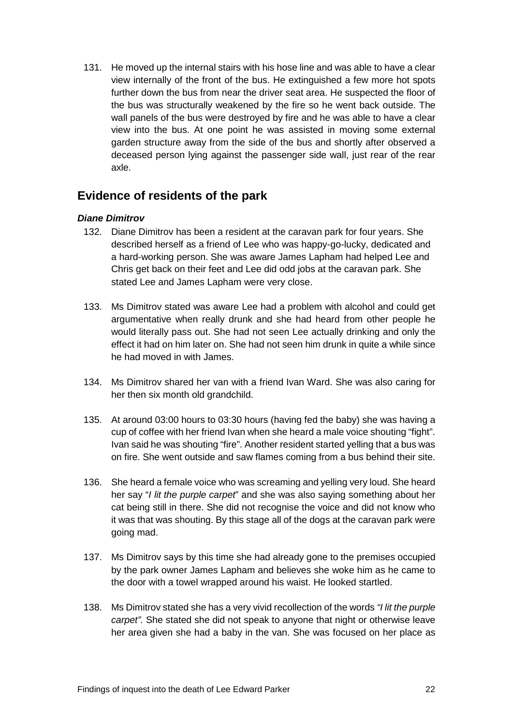131. He moved up the internal stairs with his hose line and was able to have a clear view internally of the front of the bus. He extinguished a few more hot spots further down the bus from near the driver seat area. He suspected the floor of the bus was structurally weakened by the fire so he went back outside. The wall panels of the bus were destroyed by fire and he was able to have a clear view into the bus. At one point he was assisted in moving some external garden structure away from the side of the bus and shortly after observed a deceased person lying against the passenger side wall, just rear of the rear axle.

# <span id="page-24-0"></span>**Evidence of residents of the park**

# <span id="page-24-1"></span>*Diane Dimitrov*

- 132. Diane Dimitrov has been a resident at the caravan park for four years. She described herself as a friend of Lee who was happy-go-lucky, dedicated and a hard-working person. She was aware James Lapham had helped Lee and Chris get back on their feet and Lee did odd jobs at the caravan park. She stated Lee and James Lapham were very close.
- 133. Ms Dimitrov stated was aware Lee had a problem with alcohol and could get argumentative when really drunk and she had heard from other people he would literally pass out. She had not seen Lee actually drinking and only the effect it had on him later on. She had not seen him drunk in quite a while since he had moved in with James.
- 134. Ms Dimitrov shared her van with a friend Ivan Ward. She was also caring for her then six month old grandchild.
- 135. At around 03:00 hours to 03:30 hours (having fed the baby) she was having a cup of coffee with her friend Ivan when she heard a male voice shouting "fight". Ivan said he was shouting "fire". Another resident started yelling that a bus was on fire. She went outside and saw flames coming from a bus behind their site.
- 136. She heard a female voice who was screaming and yelling very loud. She heard her say "*I lit the purple carpet*" and she was also saying something about her cat being still in there. She did not recognise the voice and did not know who it was that was shouting. By this stage all of the dogs at the caravan park were going mad.
- 137. Ms Dimitrov says by this time she had already gone to the premises occupied by the park owner James Lapham and believes she woke him as he came to the door with a towel wrapped around his waist. He looked startled.
- 138. Ms Dimitrov stated she has a very vivid recollection of the words *"I lit the purple carpet".* She stated she did not speak to anyone that night or otherwise leave her area given she had a baby in the van. She was focused on her place as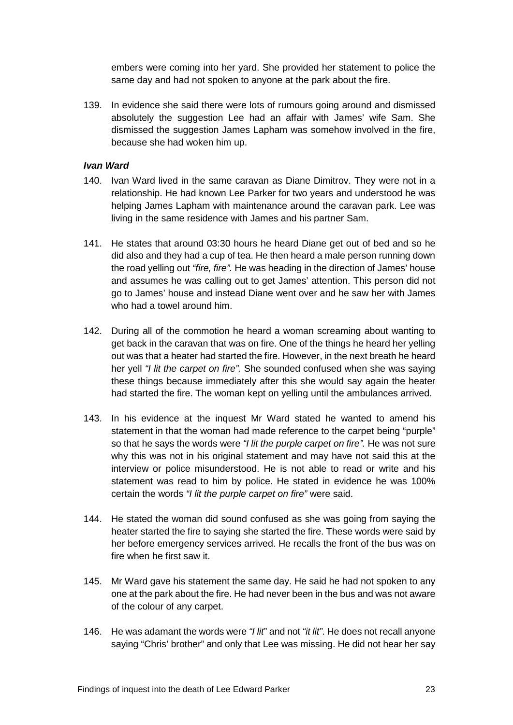embers were coming into her yard. She provided her statement to police the same day and had not spoken to anyone at the park about the fire.

139. In evidence she said there were lots of rumours going around and dismissed absolutely the suggestion Lee had an affair with James' wife Sam. She dismissed the suggestion James Lapham was somehow involved in the fire, because she had woken him up.

# <span id="page-25-0"></span>*Ivan Ward*

- 140. Ivan Ward lived in the same caravan as Diane Dimitrov. They were not in a relationship. He had known Lee Parker for two years and understood he was helping James Lapham with maintenance around the caravan park. Lee was living in the same residence with James and his partner Sam.
- 141. He states that around 03:30 hours he heard Diane get out of bed and so he did also and they had a cup of tea. He then heard a male person running down the road yelling out *"fire, fire".* He was heading in the direction of James' house and assumes he was calling out to get James' attention. This person did not go to James' house and instead Diane went over and he saw her with James who had a towel around him.
- 142. During all of the commotion he heard a woman screaming about wanting to get back in the caravan that was on fire. One of the things he heard her yelling out was that a heater had started the fire. However, in the next breath he heard her yell *"I lit the carpet on fire".* She sounded confused when she was saying these things because immediately after this she would say again the heater had started the fire. The woman kept on yelling until the ambulances arrived.
- 143. In his evidence at the inquest Mr Ward stated he wanted to amend his statement in that the woman had made reference to the carpet being "purple" so that he says the words were *"I lit the purple carpet on fire".* He was not sure why this was not in his original statement and may have not said this at the interview or police misunderstood. He is not able to read or write and his statement was read to him by police. He stated in evidence he was 100% certain the words *"I lit the purple carpet on fire"* were said.
- 144. He stated the woman did sound confused as she was going from saying the heater started the fire to saying she started the fire. These words were said by her before emergency services arrived. He recalls the front of the bus was on fire when he first saw it.
- 145. Mr Ward gave his statement the same day. He said he had not spoken to any one at the park about the fire. He had never been in the bus and was not aware of the colour of any carpet.
- 146. He was adamant the words were *"I lit*" and not *"it lit"*. He does not recall anyone saying "Chris' brother" and only that Lee was missing. He did not hear her say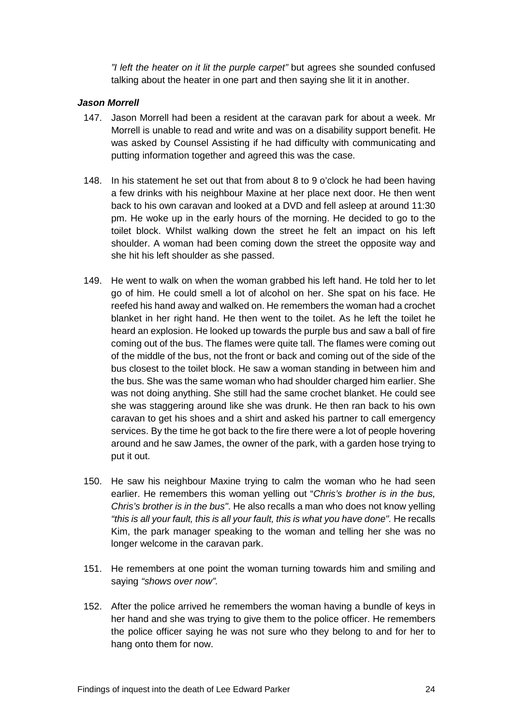*"I left the heater on it lit the purple carpet"* but agrees she sounded confused talking about the heater in one part and then saying she lit it in another.

# <span id="page-26-0"></span>*Jason Morrell*

- 147. Jason Morrell had been a resident at the caravan park for about a week. Mr Morrell is unable to read and write and was on a disability support benefit. He was asked by Counsel Assisting if he had difficulty with communicating and putting information together and agreed this was the case.
- 148. In his statement he set out that from about 8 to 9 o'clock he had been having a few drinks with his neighbour Maxine at her place next door. He then went back to his own caravan and looked at a DVD and fell asleep at around 11:30 pm. He woke up in the early hours of the morning. He decided to go to the toilet block. Whilst walking down the street he felt an impact on his left shoulder. A woman had been coming down the street the opposite way and she hit his left shoulder as she passed.
- 149. He went to walk on when the woman grabbed his left hand. He told her to let go of him. He could smell a lot of alcohol on her. She spat on his face. He reefed his hand away and walked on. He remembers the woman had a crochet blanket in her right hand. He then went to the toilet. As he left the toilet he heard an explosion. He looked up towards the purple bus and saw a ball of fire coming out of the bus. The flames were quite tall. The flames were coming out of the middle of the bus, not the front or back and coming out of the side of the bus closest to the toilet block. He saw a woman standing in between him and the bus. She was the same woman who had shoulder charged him earlier. She was not doing anything. She still had the same crochet blanket. He could see she was staggering around like she was drunk. He then ran back to his own caravan to get his shoes and a shirt and asked his partner to call emergency services. By the time he got back to the fire there were a lot of people hovering around and he saw James, the owner of the park, with a garden hose trying to put it out.
- 150. He saw his neighbour Maxine trying to calm the woman who he had seen earlier. He remembers this woman yelling out "*Chris's brother is in the bus, Chris's brother is in the bus"*. He also recalls a man who does not know yelling *"this is all your fault, this is all your fault, this is what you have done".* He recalls Kim, the park manager speaking to the woman and telling her she was no longer welcome in the caravan park.
- 151. He remembers at one point the woman turning towards him and smiling and saying *"shows over now".*
- 152. After the police arrived he remembers the woman having a bundle of keys in her hand and she was trying to give them to the police officer. He remembers the police officer saying he was not sure who they belong to and for her to hang onto them for now.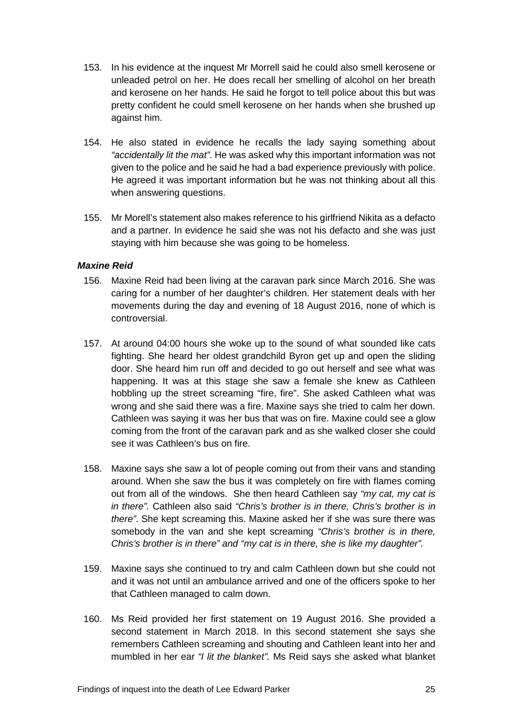- 153. In his evidence at the inquest Mr Morrell said he could also smell kerosene or unleaded petrol on her. He does recall her smelling of alcohol on her breath and kerosene on her hands. He said he forgot to tell police about this but was pretty confident he could smell kerosene on her hands when she brushed up against him.
- 154. He also stated in evidence he recalls the lady saying something about *"accidentally lit the mat"*. He was asked why this important information was not given to the police and he said he had a bad experience previously with police. He agreed it was important information but he was not thinking about all this when answering questions.
- 155. Mr Morell's statement also makes reference to his girlfriend Nikita as a defacto and a partner. In evidence he said she was not his defacto and she was just staying with him because she was going to be homeless.

# <span id="page-27-0"></span>*Maxine Reid*

- 156. Maxine Reid had been living at the caravan park since March 2016. She was caring for a number of her daughter's children. Her statement deals with her movements during the day and evening of 18 August 2016, none of which is controversial.
- 157. At around 04:00 hours she woke up to the sound of what sounded like cats fighting. She heard her oldest grandchild Byron get up and open the sliding door. She heard him run off and decided to go out herself and see what was happening. It was at this stage she saw a female she knew as Cathleen hobbling up the street screaming "fire, fire". She asked Cathleen what was wrong and she said there was a fire. Maxine says she tried to calm her down. Cathleen was saying it was her bus that was on fire. Maxine could see a glow coming from the front of the caravan park and as she walked closer she could see it was Cathleen's bus on fire.
- 158. Maxine says she saw a lot of people coming out from their vans and standing around. When she saw the bus it was completely on fire with flames coming out from all of the windows. She then heard Cathleen say *"my cat, my cat is in there".* Cathleen also said *"Chris's brother is in there, Chris's brother is in there"*. She kept screaming this. Maxine asked her if she was sure there was somebody in the van and she kept screaming *"Chris's brother is in there, Chris's brother is in there" and "my cat is in there, she is like my daughter".*
- 159. Maxine says she continued to try and calm Cathleen down but she could not and it was not until an ambulance arrived and one of the officers spoke to her that Cathleen managed to calm down.
- 160. Ms Reid provided her first statement on 19 August 2016. She provided a second statement in March 2018. In this second statement she says she remembers Cathleen screaming and shouting and Cathleen leant into her and mumbled in her ear *"I lit the blanket".* Ms Reid says she asked what blanket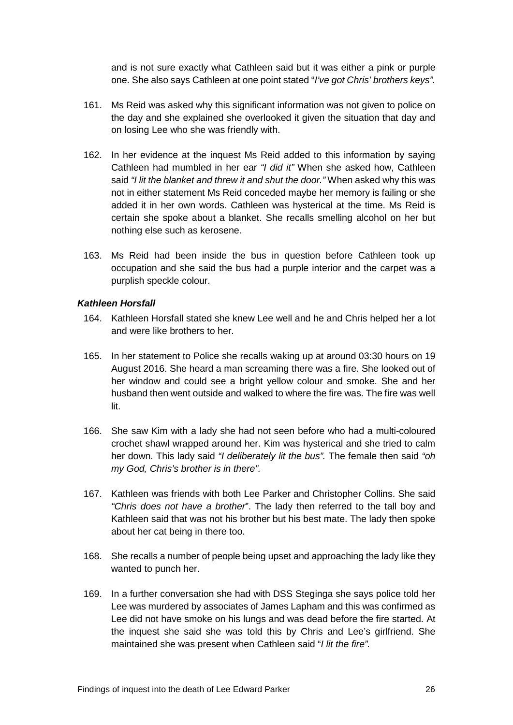and is not sure exactly what Cathleen said but it was either a pink or purple one. She also says Cathleen at one point stated "*I've got Chris' brothers keys".*

- 161. Ms Reid was asked why this significant information was not given to police on the day and she explained she overlooked it given the situation that day and on losing Lee who she was friendly with.
- 162. In her evidence at the inquest Ms Reid added to this information by saying Cathleen had mumbled in her ear *"I did it"* When she asked how, Cathleen said *"I lit the blanket and threw it and shut the door."* When asked why this was not in either statement Ms Reid conceded maybe her memory is failing or she added it in her own words. Cathleen was hysterical at the time. Ms Reid is certain she spoke about a blanket. She recalls smelling alcohol on her but nothing else such as kerosene.
- 163. Ms Reid had been inside the bus in question before Cathleen took up occupation and she said the bus had a purple interior and the carpet was a purplish speckle colour.

#### <span id="page-28-0"></span>*Kathleen Horsfall*

- 164. Kathleen Horsfall stated she knew Lee well and he and Chris helped her a lot and were like brothers to her.
- 165. In her statement to Police she recalls waking up at around 03:30 hours on 19 August 2016. She heard a man screaming there was a fire. She looked out of her window and could see a bright yellow colour and smoke. She and her husband then went outside and walked to where the fire was. The fire was well lit.
- 166. She saw Kim with a lady she had not seen before who had a multi-coloured crochet shawl wrapped around her. Kim was hysterical and she tried to calm her down. This lady said *"I deliberately lit the bus".* The female then said *"oh my God, Chris's brother is in there".*
- 167. Kathleen was friends with both Lee Parker and Christopher Collins. She said *"Chris does not have a brother*". The lady then referred to the tall boy and Kathleen said that was not his brother but his best mate. The lady then spoke about her cat being in there too.
- 168. She recalls a number of people being upset and approaching the lady like they wanted to punch her.
- 169. In a further conversation she had with DSS Steginga she says police told her Lee was murdered by associates of James Lapham and this was confirmed as Lee did not have smoke on his lungs and was dead before the fire started. At the inquest she said she was told this by Chris and Lee's girlfriend. She maintained she was present when Cathleen said "*I lit the fire".*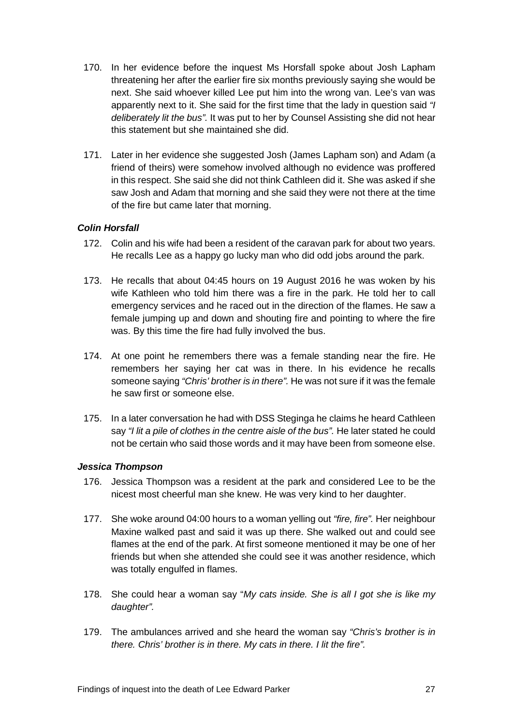- 170. In her evidence before the inquest Ms Horsfall spoke about Josh Lapham threatening her after the earlier fire six months previously saying she would be next. She said whoever killed Lee put him into the wrong van. Lee's van was apparently next to it. She said for the first time that the lady in question said *"I deliberately lit the bus".* It was put to her by Counsel Assisting she did not hear this statement but she maintained she did.
- 171. Later in her evidence she suggested Josh (James Lapham son) and Adam (a friend of theirs) were somehow involved although no evidence was proffered in this respect. She said she did not think Cathleen did it. She was asked if she saw Josh and Adam that morning and she said they were not there at the time of the fire but came later that morning.

# <span id="page-29-0"></span>*Colin Horsfall*

- 172. Colin and his wife had been a resident of the caravan park for about two years. He recalls Lee as a happy go lucky man who did odd jobs around the park.
- 173. He recalls that about 04:45 hours on 19 August 2016 he was woken by his wife Kathleen who told him there was a fire in the park. He told her to call emergency services and he raced out in the direction of the flames. He saw a female jumping up and down and shouting fire and pointing to where the fire was. By this time the fire had fully involved the bus.
- 174. At one point he remembers there was a female standing near the fire. He remembers her saying her cat was in there. In his evidence he recalls someone saying *"Chris' brother is in there".* He was not sure if it was the female he saw first or someone else.
- 175. In a later conversation he had with DSS Steginga he claims he heard Cathleen say *"I lit a pile of clothes in the centre aisle of the bus".* He later stated he could not be certain who said those words and it may have been from someone else.

# <span id="page-29-1"></span>*Jessica Thompson*

- 176. Jessica Thompson was a resident at the park and considered Lee to be the nicest most cheerful man she knew. He was very kind to her daughter.
- 177. She woke around 04:00 hours to a woman yelling out *"fire, fire".* Her neighbour Maxine walked past and said it was up there. She walked out and could see flames at the end of the park. At first someone mentioned it may be one of her friends but when she attended she could see it was another residence, which was totally engulfed in flames.
- 178. She could hear a woman say "*My cats inside. She is all I got she is like my daughter".*
- 179. The ambulances arrived and she heard the woman say *"Chris's brother is in there. Chris' brother is in there. My cats in there. I lit the fire".*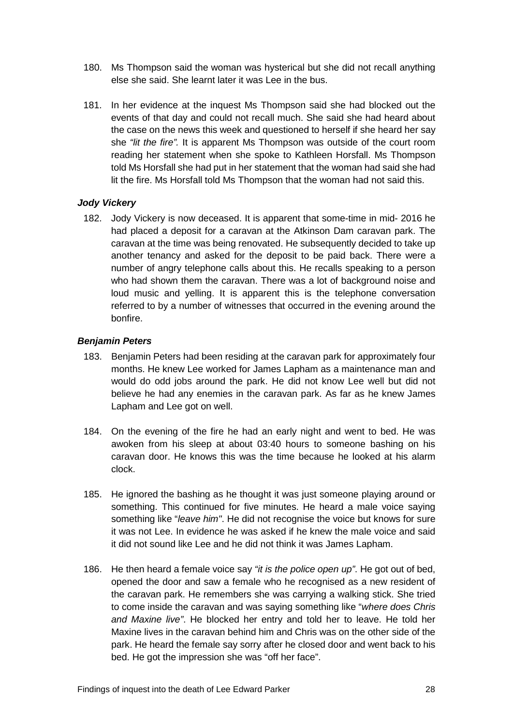- 180. Ms Thompson said the woman was hysterical but she did not recall anything else she said. She learnt later it was Lee in the bus.
- 181. In her evidence at the inquest Ms Thompson said she had blocked out the events of that day and could not recall much. She said she had heard about the case on the news this week and questioned to herself if she heard her say she *"lit the fire".* It is apparent Ms Thompson was outside of the court room reading her statement when she spoke to Kathleen Horsfall. Ms Thompson told Ms Horsfall she had put in her statement that the woman had said she had lit the fire. Ms Horsfall told Ms Thompson that the woman had not said this.

# <span id="page-30-0"></span>*Jody Vickery*

182. Jody Vickery is now deceased. It is apparent that some-time in mid- 2016 he had placed a deposit for a caravan at the Atkinson Dam caravan park. The caravan at the time was being renovated. He subsequently decided to take up another tenancy and asked for the deposit to be paid back. There were a number of angry telephone calls about this. He recalls speaking to a person who had shown them the caravan. There was a lot of background noise and loud music and yelling. It is apparent this is the telephone conversation referred to by a number of witnesses that occurred in the evening around the bonfire.

# <span id="page-30-1"></span>*Benjamin Peters*

- 183. Benjamin Peters had been residing at the caravan park for approximately four months. He knew Lee worked for James Lapham as a maintenance man and would do odd jobs around the park. He did not know Lee well but did not believe he had any enemies in the caravan park. As far as he knew James Lapham and Lee got on well.
- 184. On the evening of the fire he had an early night and went to bed. He was awoken from his sleep at about 03:40 hours to someone bashing on his caravan door. He knows this was the time because he looked at his alarm clock.
- 185. He ignored the bashing as he thought it was just someone playing around or something. This continued for five minutes. He heard a male voice saying something like "*leave him"*. He did not recognise the voice but knows for sure it was not Lee. In evidence he was asked if he knew the male voice and said it did not sound like Lee and he did not think it was James Lapham.
- 186. He then heard a female voice say *"it is the police open up"*. He got out of bed, opened the door and saw a female who he recognised as a new resident of the caravan park. He remembers she was carrying a walking stick. She tried to come inside the caravan and was saying something like "*where does Chris and Maxine live"*. He blocked her entry and told her to leave. He told her Maxine lives in the caravan behind him and Chris was on the other side of the park. He heard the female say sorry after he closed door and went back to his bed. He got the impression she was "off her face".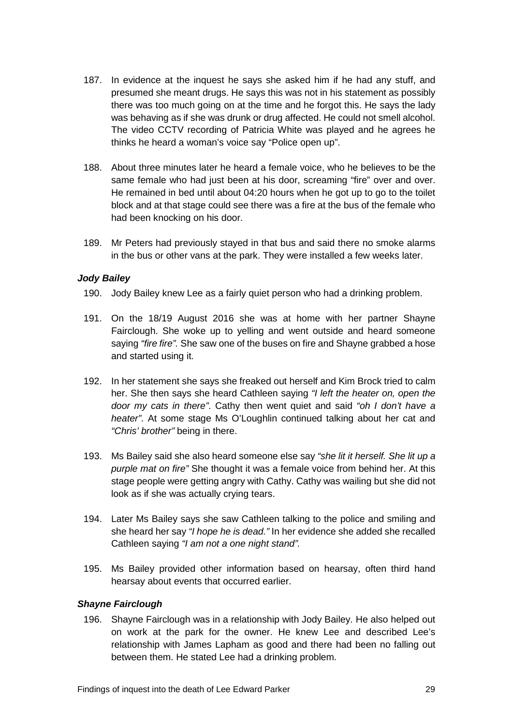- 187. In evidence at the inquest he says she asked him if he had any stuff, and presumed she meant drugs. He says this was not in his statement as possibly there was too much going on at the time and he forgot this. He says the lady was behaving as if she was drunk or drug affected. He could not smell alcohol. The video CCTV recording of Patricia White was played and he agrees he thinks he heard a woman's voice say "Police open up".
- 188. About three minutes later he heard a female voice, who he believes to be the same female who had just been at his door, screaming "fire" over and over. He remained in bed until about 04:20 hours when he got up to go to the toilet block and at that stage could see there was a fire at the bus of the female who had been knocking on his door.
- 189. Mr Peters had previously stayed in that bus and said there no smoke alarms in the bus or other vans at the park. They were installed a few weeks later.

#### <span id="page-31-0"></span>*Jody Bailey*

- 190. Jody Bailey knew Lee as a fairly quiet person who had a drinking problem.
- 191. On the 18/19 August 2016 she was at home with her partner Shayne Fairclough. She woke up to yelling and went outside and heard someone saying *"fire fire".* She saw one of the buses on fire and Shayne grabbed a hose and started using it.
- 192. In her statement she says she freaked out herself and Kim Brock tried to calm her. She then says she heard Cathleen saying *"I left the heater on, open the door my cats in there"*. Cathy then went quiet and said *"oh I don't have a heater"*. At some stage Ms O'Loughlin continued talking about her cat and *"Chris' brother"* being in there.
- 193. Ms Bailey said she also heard someone else say *"she lit it herself. She lit up a purple mat on fire"* She thought it was a female voice from behind her. At this stage people were getting angry with Cathy. Cathy was wailing but she did not look as if she was actually crying tears.
- 194. Later Ms Bailey says she saw Cathleen talking to the police and smiling and she heard her say *"I hope he is dead."* In her evidence she added she recalled Cathleen saying *"I am not a one night stand".*
- 195. Ms Bailey provided other information based on hearsay, often third hand hearsay about events that occurred earlier.

#### <span id="page-31-1"></span>*Shayne Fairclough*

196. Shayne Fairclough was in a relationship with Jody Bailey. He also helped out on work at the park for the owner. He knew Lee and described Lee's relationship with James Lapham as good and there had been no falling out between them. He stated Lee had a drinking problem.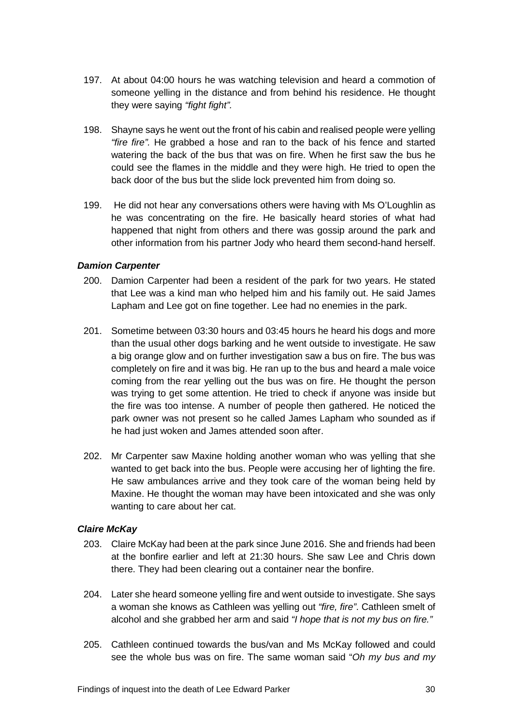- 197. At about 04:00 hours he was watching television and heard a commotion of someone yelling in the distance and from behind his residence. He thought they were saying *"fight fight".*
- 198. Shayne says he went out the front of his cabin and realised people were yelling *"fire fire".* He grabbed a hose and ran to the back of his fence and started watering the back of the bus that was on fire. When he first saw the bus he could see the flames in the middle and they were high. He tried to open the back door of the bus but the slide lock prevented him from doing so.
- 199. He did not hear any conversations others were having with Ms O'Loughlin as he was concentrating on the fire. He basically heard stories of what had happened that night from others and there was gossip around the park and other information from his partner Jody who heard them second-hand herself.

# <span id="page-32-0"></span>*Damion Carpenter*

- 200. Damion Carpenter had been a resident of the park for two years. He stated that Lee was a kind man who helped him and his family out. He said James Lapham and Lee got on fine together. Lee had no enemies in the park.
- 201. Sometime between 03:30 hours and 03:45 hours he heard his dogs and more than the usual other dogs barking and he went outside to investigate. He saw a big orange glow and on further investigation saw a bus on fire. The bus was completely on fire and it was big. He ran up to the bus and heard a male voice coming from the rear yelling out the bus was on fire. He thought the person was trying to get some attention. He tried to check if anyone was inside but the fire was too intense. A number of people then gathered. He noticed the park owner was not present so he called James Lapham who sounded as if he had just woken and James attended soon after.
- 202. Mr Carpenter saw Maxine holding another woman who was yelling that she wanted to get back into the bus. People were accusing her of lighting the fire. He saw ambulances arrive and they took care of the woman being held by Maxine. He thought the woman may have been intoxicated and she was only wanting to care about her cat.

#### <span id="page-32-1"></span>*Claire McKay*

- 203. Claire McKay had been at the park since June 2016. She and friends had been at the bonfire earlier and left at 21:30 hours. She saw Lee and Chris down there. They had been clearing out a container near the bonfire.
- 204. Later she heard someone yelling fire and went outside to investigate. She says a woman she knows as Cathleen was yelling out *"fire, fire"*. Cathleen smelt of alcohol and she grabbed her arm and said *"I hope that is not my bus on fire."*
- 205. Cathleen continued towards the bus/van and Ms McKay followed and could see the whole bus was on fire. The same woman said "*Oh my bus and my*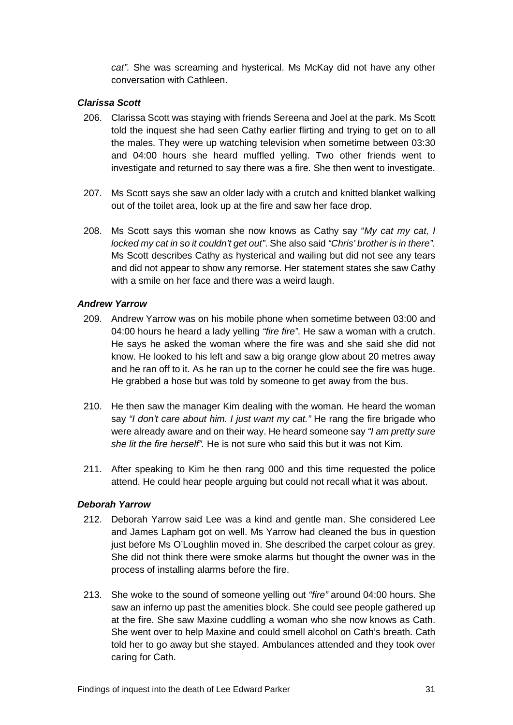*cat".* She was screaming and hysterical. Ms McKay did not have any other conversation with Cathleen.

# <span id="page-33-0"></span>*Clarissa Scott*

- 206. Clarissa Scott was staying with friends Sereena and Joel at the park. Ms Scott told the inquest she had seen Cathy earlier flirting and trying to get on to all the males. They were up watching television when sometime between 03:30 and 04:00 hours she heard muffled yelling. Two other friends went to investigate and returned to say there was a fire. She then went to investigate.
- 207. Ms Scott says she saw an older lady with a crutch and knitted blanket walking out of the toilet area, look up at the fire and saw her face drop.
- 208. Ms Scott says this woman she now knows as Cathy say "*My cat my cat, I locked my cat in so it couldn't get out"*. She also said *"Chris' brother is in there".* Ms Scott describes Cathy as hysterical and wailing but did not see any tears and did not appear to show any remorse. Her statement states she saw Cathy with a smile on her face and there was a weird laugh.

#### <span id="page-33-1"></span>*Andrew Yarrow*

- 209. Andrew Yarrow was on his mobile phone when sometime between 03:00 and 04:00 hours he heard a lady yelling *"fire fire"*. He saw a woman with a crutch. He says he asked the woman where the fire was and she said she did not know. He looked to his left and saw a big orange glow about 20 metres away and he ran off to it. As he ran up to the corner he could see the fire was huge. He grabbed a hose but was told by someone to get away from the bus.
- 210. He then saw the manager Kim dealing with the woman*.* He heard the woman say *"I don't care about him. I just want my cat."* He rang the fire brigade who were already aware and on their way. He heard someone say *"I am pretty sure she lit the fire herself".* He is not sure who said this but it was not Kim.
- 211. After speaking to Kim he then rang 000 and this time requested the police attend. He could hear people arguing but could not recall what it was about.

# <span id="page-33-2"></span>*Deborah Yarrow*

- 212. Deborah Yarrow said Lee was a kind and gentle man. She considered Lee and James Lapham got on well. Ms Yarrow had cleaned the bus in question just before Ms O'Loughlin moved in. She described the carpet colour as grey. She did not think there were smoke alarms but thought the owner was in the process of installing alarms before the fire.
- 213. She woke to the sound of someone yelling out *"fire"* around 04:00 hours. She saw an inferno up past the amenities block. She could see people gathered up at the fire. She saw Maxine cuddling a woman who she now knows as Cath. She went over to help Maxine and could smell alcohol on Cath's breath. Cath told her to go away but she stayed. Ambulances attended and they took over caring for Cath.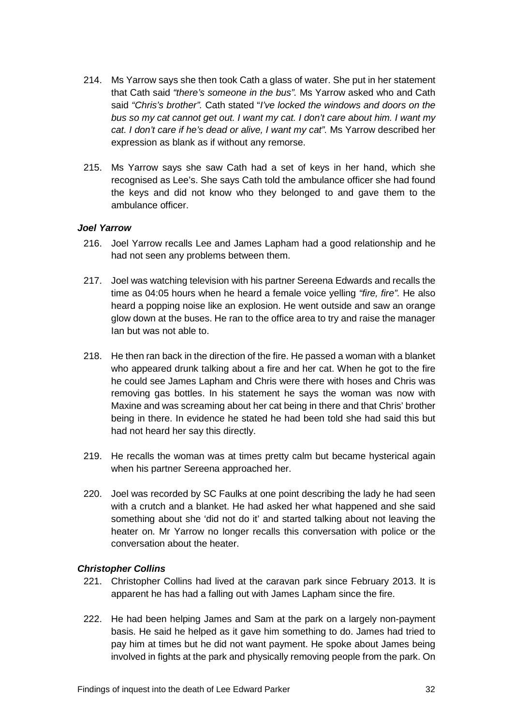- 214. Ms Yarrow says she then took Cath a glass of water. She put in her statement that Cath said *"there's someone in the bus".* Ms Yarrow asked who and Cath said *"Chris's brother".* Cath stated "*I've locked the windows and doors on the bus so my cat cannot get out. I want my cat. I don't care about him. I want my cat. I don't care if he's dead or alive, I want my cat".* Ms Yarrow described her expression as blank as if without any remorse.
- 215. Ms Yarrow says she saw Cath had a set of keys in her hand, which she recognised as Lee's. She says Cath told the ambulance officer she had found the keys and did not know who they belonged to and gave them to the ambulance officer.

#### <span id="page-34-0"></span>*Joel Yarrow*

- 216. Joel Yarrow recalls Lee and James Lapham had a good relationship and he had not seen any problems between them.
- 217. Joel was watching television with his partner Sereena Edwards and recalls the time as 04:05 hours when he heard a female voice yelling *"fire, fire".* He also heard a popping noise like an explosion. He went outside and saw an orange glow down at the buses. He ran to the office area to try and raise the manager Ian but was not able to.
- 218. He then ran back in the direction of the fire. He passed a woman with a blanket who appeared drunk talking about a fire and her cat. When he got to the fire he could see James Lapham and Chris were there with hoses and Chris was removing gas bottles. In his statement he says the woman was now with Maxine and was screaming about her cat being in there and that Chris' brother being in there. In evidence he stated he had been told she had said this but had not heard her say this directly.
- 219. He recalls the woman was at times pretty calm but became hysterical again when his partner Sereena approached her.
- 220. Joel was recorded by SC Faulks at one point describing the lady he had seen with a crutch and a blanket. He had asked her what happened and she said something about she 'did not do it' and started talking about not leaving the heater on. Mr Yarrow no longer recalls this conversation with police or the conversation about the heater.

# *Christopher Collins*

- 221. Christopher Collins had lived at the caravan park since February 2013. It is apparent he has had a falling out with James Lapham since the fire.
- 222. He had been helping James and Sam at the park on a largely non-payment basis. He said he helped as it gave him something to do. James had tried to pay him at times but he did not want payment. He spoke about James being involved in fights at the park and physically removing people from the park. On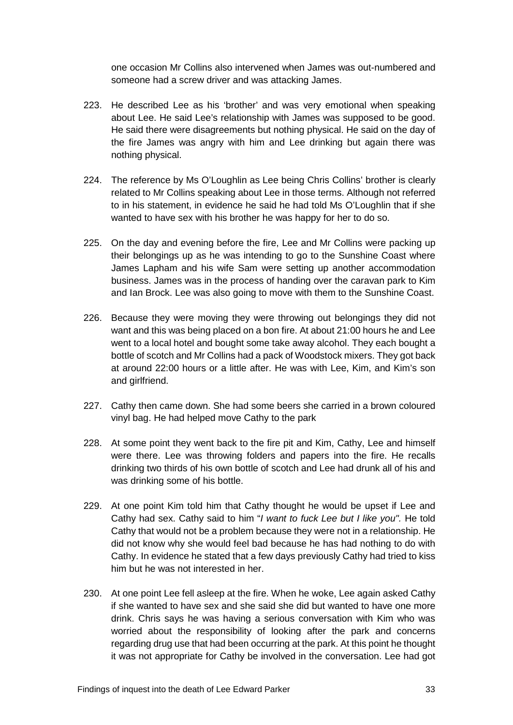one occasion Mr Collins also intervened when James was out-numbered and someone had a screw driver and was attacking James.

- 223. He described Lee as his 'brother' and was very emotional when speaking about Lee. He said Lee's relationship with James was supposed to be good. He said there were disagreements but nothing physical. He said on the day of the fire James was angry with him and Lee drinking but again there was nothing physical.
- 224. The reference by Ms O'Loughlin as Lee being Chris Collins' brother is clearly related to Mr Collins speaking about Lee in those terms. Although not referred to in his statement, in evidence he said he had told Ms O'Loughlin that if she wanted to have sex with his brother he was happy for her to do so.
- 225. On the day and evening before the fire, Lee and Mr Collins were packing up their belongings up as he was intending to go to the Sunshine Coast where James Lapham and his wife Sam were setting up another accommodation business. James was in the process of handing over the caravan park to Kim and Ian Brock. Lee was also going to move with them to the Sunshine Coast.
- 226. Because they were moving they were throwing out belongings they did not want and this was being placed on a bon fire. At about 21:00 hours he and Lee went to a local hotel and bought some take away alcohol. They each bought a bottle of scotch and Mr Collins had a pack of Woodstock mixers. They got back at around 22:00 hours or a little after. He was with Lee, Kim, and Kim's son and girlfriend.
- 227. Cathy then came down. She had some beers she carried in a brown coloured vinyl bag. He had helped move Cathy to the park
- 228. At some point they went back to the fire pit and Kim, Cathy, Lee and himself were there. Lee was throwing folders and papers into the fire. He recalls drinking two thirds of his own bottle of scotch and Lee had drunk all of his and was drinking some of his bottle.
- 229. At one point Kim told him that Cathy thought he would be upset if Lee and Cathy had sex. Cathy said to him "*I want to fuck Lee but I like you".* He told Cathy that would not be a problem because they were not in a relationship. He did not know why she would feel bad because he has had nothing to do with Cathy. In evidence he stated that a few days previously Cathy had tried to kiss him but he was not interested in her.
- 230. At one point Lee fell asleep at the fire. When he woke, Lee again asked Cathy if she wanted to have sex and she said she did but wanted to have one more drink. Chris says he was having a serious conversation with Kim who was worried about the responsibility of looking after the park and concerns regarding drug use that had been occurring at the park. At this point he thought it was not appropriate for Cathy be involved in the conversation. Lee had got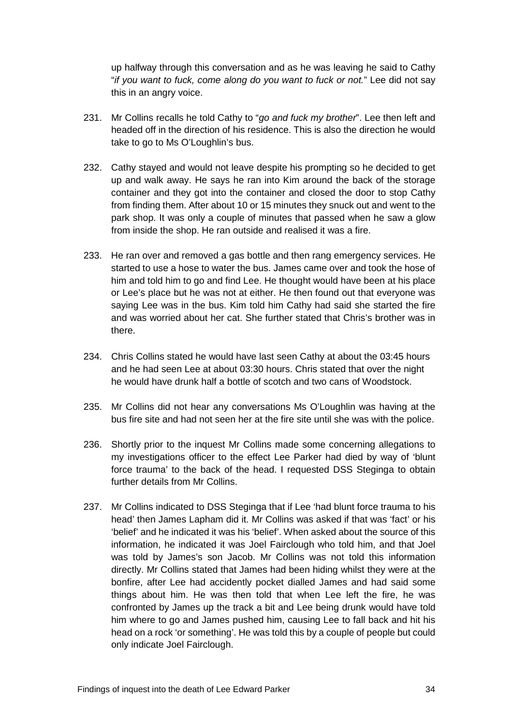up halfway through this conversation and as he was leaving he said to Cathy "*if you want to fuck, come along do you want to fuck or not.*" Lee did not say this in an angry voice.

- 231. Mr Collins recalls he told Cathy to "*go and fuck my brother*". Lee then left and headed off in the direction of his residence. This is also the direction he would take to go to Ms O'Loughlin's bus.
- 232. Cathy stayed and would not leave despite his prompting so he decided to get up and walk away. He says he ran into Kim around the back of the storage container and they got into the container and closed the door to stop Cathy from finding them. After about 10 or 15 minutes they snuck out and went to the park shop. It was only a couple of minutes that passed when he saw a glow from inside the shop. He ran outside and realised it was a fire.
- 233. He ran over and removed a gas bottle and then rang emergency services. He started to use a hose to water the bus. James came over and took the hose of him and told him to go and find Lee. He thought would have been at his place or Lee's place but he was not at either. He then found out that everyone was saying Lee was in the bus. Kim told him Cathy had said she started the fire and was worried about her cat. She further stated that Chris's brother was in there.
- 234. Chris Collins stated he would have last seen Cathy at about the 03:45 hours and he had seen Lee at about 03:30 hours. Chris stated that over the night he would have drunk half a bottle of scotch and two cans of Woodstock.
- 235. Mr Collins did not hear any conversations Ms O'Loughlin was having at the bus fire site and had not seen her at the fire site until she was with the police.
- 236. Shortly prior to the inquest Mr Collins made some concerning allegations to my investigations officer to the effect Lee Parker had died by way of 'blunt force trauma' to the back of the head. I requested DSS Steginga to obtain further details from Mr Collins.
- 237. Mr Collins indicated to DSS Steginga that if Lee 'had blunt force trauma to his head' then James Lapham did it. Mr Collins was asked if that was 'fact' or his 'belief' and he indicated it was his 'belief'. When asked about the source of this information, he indicated it was Joel Fairclough who told him, and that Joel was told by James's son Jacob. Mr Collins was not told this information directly. Mr Collins stated that James had been hiding whilst they were at the bonfire, after Lee had accidently pocket dialled James and had said some things about him. He was then told that when Lee left the fire, he was confronted by James up the track a bit and Lee being drunk would have told him where to go and James pushed him, causing Lee to fall back and hit his head on a rock 'or something'. He was told this by a couple of people but could only indicate Joel Fairclough.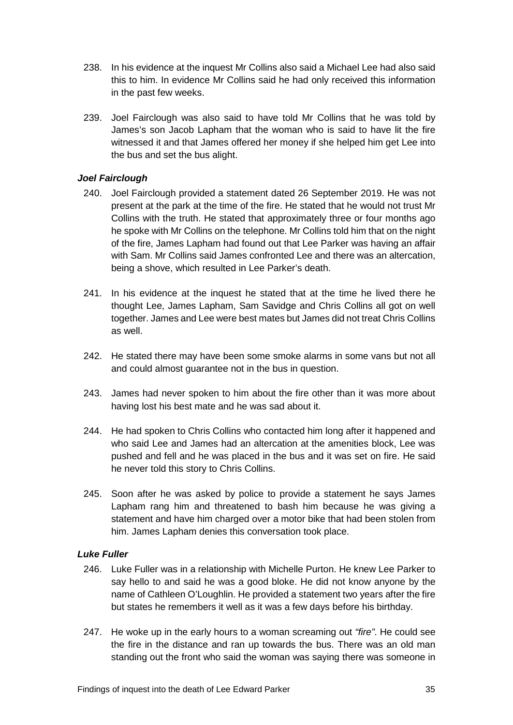- 238. In his evidence at the inquest Mr Collins also said a Michael Lee had also said this to him. In evidence Mr Collins said he had only received this information in the past few weeks.
- 239. Joel Fairclough was also said to have told Mr Collins that he was told by James's son Jacob Lapham that the woman who is said to have lit the fire witnessed it and that James offered her money if she helped him get Lee into the bus and set the bus alight.

# <span id="page-37-0"></span>*Joel Fairclough*

- 240. Joel Fairclough provided a statement dated 26 September 2019. He was not present at the park at the time of the fire. He stated that he would not trust Mr Collins with the truth. He stated that approximately three or four months ago he spoke with Mr Collins on the telephone. Mr Collins told him that on the night of the fire, James Lapham had found out that Lee Parker was having an affair with Sam. Mr Collins said James confronted Lee and there was an altercation, being a shove, which resulted in Lee Parker's death.
- 241. In his evidence at the inquest he stated that at the time he lived there he thought Lee, James Lapham, Sam Savidge and Chris Collins all got on well together. James and Lee were best mates but James did not treat Chris Collins as well.
- 242. He stated there may have been some smoke alarms in some vans but not all and could almost guarantee not in the bus in question.
- 243. James had never spoken to him about the fire other than it was more about having lost his best mate and he was sad about it.
- 244. He had spoken to Chris Collins who contacted him long after it happened and who said Lee and James had an altercation at the amenities block, Lee was pushed and fell and he was placed in the bus and it was set on fire. He said he never told this story to Chris Collins.
- 245. Soon after he was asked by police to provide a statement he says James Lapham rang him and threatened to bash him because he was giving a statement and have him charged over a motor bike that had been stolen from him. James Lapham denies this conversation took place.

#### <span id="page-37-1"></span>*Luke Fuller*

- 246. Luke Fuller was in a relationship with Michelle Purton. He knew Lee Parker to say hello to and said he was a good bloke. He did not know anyone by the name of Cathleen O'Loughlin. He provided a statement two years after the fire but states he remembers it well as it was a few days before his birthday.
- 247. He woke up in the early hours to a woman screaming out *"fire"*. He could see the fire in the distance and ran up towards the bus. There was an old man standing out the front who said the woman was saying there was someone in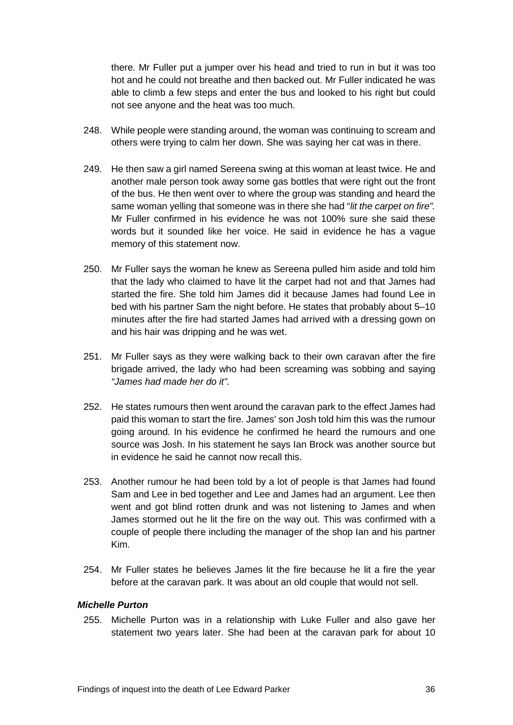there. Mr Fuller put a jumper over his head and tried to run in but it was too hot and he could not breathe and then backed out. Mr Fuller indicated he was able to climb a few steps and enter the bus and looked to his right but could not see anyone and the heat was too much.

- 248. While people were standing around, the woman was continuing to scream and others were trying to calm her down. She was saying her cat was in there.
- 249. He then saw a girl named Sereena swing at this woman at least twice. He and another male person took away some gas bottles that were right out the front of the bus. He then went over to where the group was standing and heard the same woman yelling that someone was in there she had "*lit the carpet on fire".* Mr Fuller confirmed in his evidence he was not 100% sure she said these words but it sounded like her voice. He said in evidence he has a vague memory of this statement now.
- 250. Mr Fuller says the woman he knew as Sereena pulled him aside and told him that the lady who claimed to have lit the carpet had not and that James had started the fire. She told him James did it because James had found Lee in bed with his partner Sam the night before. He states that probably about 5–10 minutes after the fire had started James had arrived with a dressing gown on and his hair was dripping and he was wet.
- 251. Mr Fuller says as they were walking back to their own caravan after the fire brigade arrived, the lady who had been screaming was sobbing and saying *"James had made her do it".*
- 252. He states rumours then went around the caravan park to the effect James had paid this woman to start the fire. James' son Josh told him this was the rumour going around. In his evidence he confirmed he heard the rumours and one source was Josh. In his statement he says Ian Brock was another source but in evidence he said he cannot now recall this.
- 253. Another rumour he had been told by a lot of people is that James had found Sam and Lee in bed together and Lee and James had an argument. Lee then went and got blind rotten drunk and was not listening to James and when James stormed out he lit the fire on the way out. This was confirmed with a couple of people there including the manager of the shop Ian and his partner Kim.
- 254. Mr Fuller states he believes James lit the fire because he lit a fire the year before at the caravan park. It was about an old couple that would not sell.

#### <span id="page-38-0"></span>*Michelle Purton*

255. Michelle Purton was in a relationship with Luke Fuller and also gave her statement two years later. She had been at the caravan park for about 10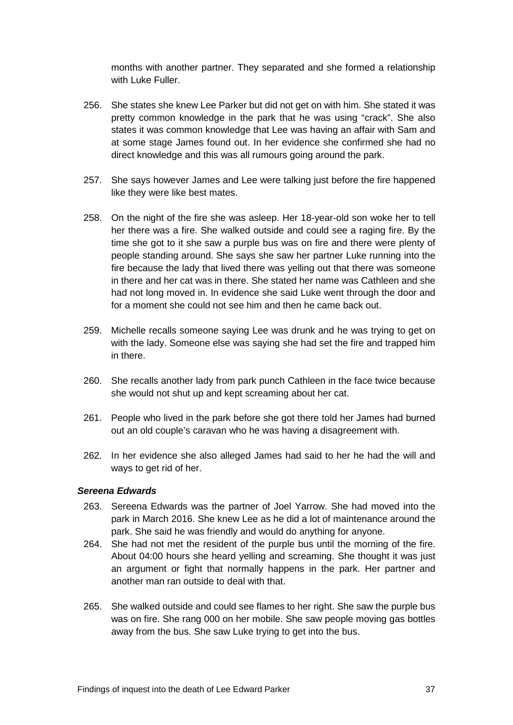months with another partner. They separated and she formed a relationship with Luke Fuller.

- 256. She states she knew Lee Parker but did not get on with him. She stated it was pretty common knowledge in the park that he was using "crack". She also states it was common knowledge that Lee was having an affair with Sam and at some stage James found out. In her evidence she confirmed she had no direct knowledge and this was all rumours going around the park.
- 257. She says however James and Lee were talking just before the fire happened like they were like best mates.
- 258. On the night of the fire she was asleep. Her 18-year-old son woke her to tell her there was a fire. She walked outside and could see a raging fire. By the time she got to it she saw a purple bus was on fire and there were plenty of people standing around. She says she saw her partner Luke running into the fire because the lady that lived there was yelling out that there was someone in there and her cat was in there. She stated her name was Cathleen and she had not long moved in. In evidence she said Luke went through the door and for a moment she could not see him and then he came back out.
- 259. Michelle recalls someone saying Lee was drunk and he was trying to get on with the lady. Someone else was saying she had set the fire and trapped him in there.
- 260. She recalls another lady from park punch Cathleen in the face twice because she would not shut up and kept screaming about her cat.
- 261. People who lived in the park before she got there told her James had burned out an old couple's caravan who he was having a disagreement with.
- 262. In her evidence she also alleged James had said to her he had the will and ways to get rid of her.

#### <span id="page-39-0"></span>*Sereena Edwards*

- 263. Sereena Edwards was the partner of Joel Yarrow. She had moved into the park in March 2016. She knew Lee as he did a lot of maintenance around the park. She said he was friendly and would do anything for anyone.
- 264. She had not met the resident of the purple bus until the morning of the fire. About 04:00 hours she heard yelling and screaming. She thought it was just an argument or fight that normally happens in the park. Her partner and another man ran outside to deal with that.
- 265. She walked outside and could see flames to her right. She saw the purple bus was on fire. She rang 000 on her mobile. She saw people moving gas bottles away from the bus. She saw Luke trying to get into the bus.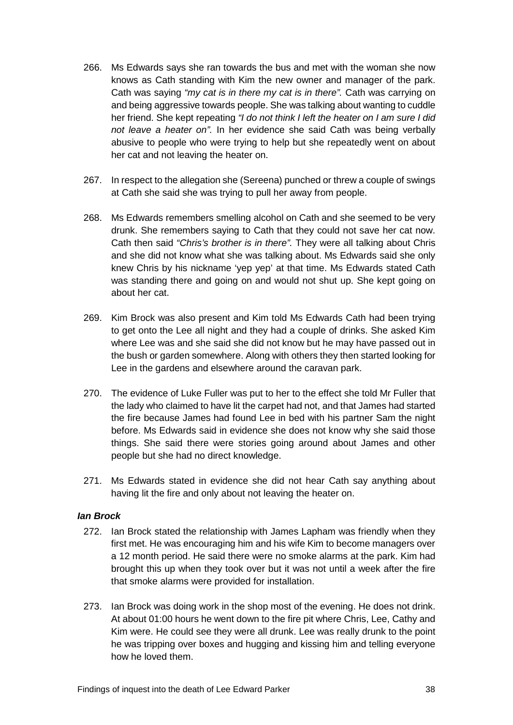- 266. Ms Edwards says she ran towards the bus and met with the woman she now knows as Cath standing with Kim the new owner and manager of the park. Cath was saying *"my cat is in there my cat is in there".* Cath was carrying on and being aggressive towards people. She was talking about wanting to cuddle her friend. She kept repeating *"I do not think I left the heater on I am sure I did not leave a heater on".* In her evidence she said Cath was being verbally abusive to people who were trying to help but she repeatedly went on about her cat and not leaving the heater on.
- 267. In respect to the allegation she (Sereena) punched or threw a couple of swings at Cath she said she was trying to pull her away from people.
- 268. Ms Edwards remembers smelling alcohol on Cath and she seemed to be very drunk. She remembers saying to Cath that they could not save her cat now. Cath then said *"Chris's brother is in there".* They were all talking about Chris and she did not know what she was talking about. Ms Edwards said she only knew Chris by his nickname 'yep yep' at that time. Ms Edwards stated Cath was standing there and going on and would not shut up. She kept going on about her cat.
- 269. Kim Brock was also present and Kim told Ms Edwards Cath had been trying to get onto the Lee all night and they had a couple of drinks. She asked Kim where Lee was and she said she did not know but he may have passed out in the bush or garden somewhere. Along with others they then started looking for Lee in the gardens and elsewhere around the caravan park.
- 270. The evidence of Luke Fuller was put to her to the effect she told Mr Fuller that the lady who claimed to have lit the carpet had not, and that James had started the fire because James had found Lee in bed with his partner Sam the night before. Ms Edwards said in evidence she does not know why she said those things. She said there were stories going around about James and other people but she had no direct knowledge.
- 271. Ms Edwards stated in evidence she did not hear Cath say anything about having lit the fire and only about not leaving the heater on.

# <span id="page-40-0"></span>*Ian Brock*

- 272. Ian Brock stated the relationship with James Lapham was friendly when they first met. He was encouraging him and his wife Kim to become managers over a 12 month period. He said there were no smoke alarms at the park. Kim had brought this up when they took over but it was not until a week after the fire that smoke alarms were provided for installation.
- 273. Ian Brock was doing work in the shop most of the evening. He does not drink. At about 01:00 hours he went down to the fire pit where Chris, Lee, Cathy and Kim were. He could see they were all drunk. Lee was really drunk to the point he was tripping over boxes and hugging and kissing him and telling everyone how he loved them.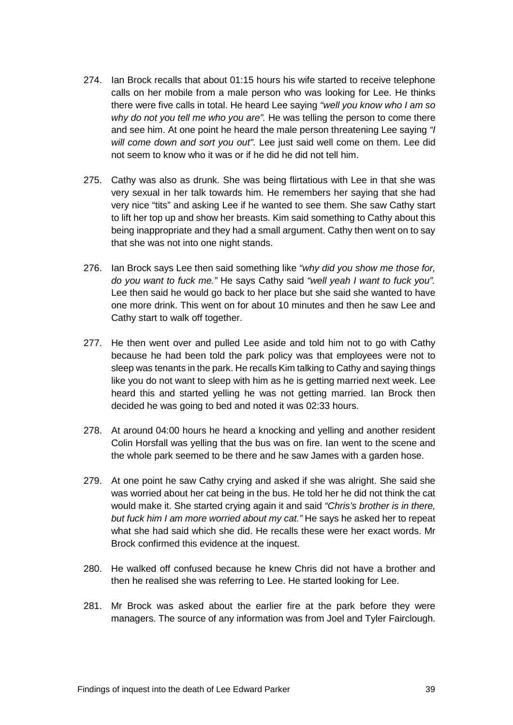- 274. Ian Brock recalls that about 01:15 hours his wife started to receive telephone calls on her mobile from a male person who was looking for Lee. He thinks there were five calls in total. He heard Lee saying *"well you know who I am so why do not you tell me who you are".* He was telling the person to come there and see him. At one point he heard the male person threatening Lee saying *"I will come down and sort you out".* Lee just said well come on them. Lee did not seem to know who it was or if he did he did not tell him.
- 275. Cathy was also as drunk. She was being flirtatious with Lee in that she was very sexual in her talk towards him. He remembers her saying that she had very nice "tits" and asking Lee if he wanted to see them. She saw Cathy start to lift her top up and show her breasts. Kim said something to Cathy about this being inappropriate and they had a small argument. Cathy then went on to say that she was not into one night stands.
- 276. Ian Brock says Lee then said something like *"why did you show me those for, do you want to fuck me."* He says Cathy said *"well yeah I want to fuck you".*  Lee then said he would go back to her place but she said she wanted to have one more drink. This went on for about 10 minutes and then he saw Lee and Cathy start to walk off together.
- 277. He then went over and pulled Lee aside and told him not to go with Cathy because he had been told the park policy was that employees were not to sleep was tenants in the park. He recalls Kim talking to Cathy and saying things like you do not want to sleep with him as he is getting married next week. Lee heard this and started yelling he was not getting married. Ian Brock then decided he was going to bed and noted it was 02:33 hours.
- 278. At around 04:00 hours he heard a knocking and yelling and another resident Colin Horsfall was yelling that the bus was on fire. Ian went to the scene and the whole park seemed to be there and he saw James with a garden hose.
- 279. At one point he saw Cathy crying and asked if she was alright. She said she was worried about her cat being in the bus. He told her he did not think the cat would make it. She started crying again it and said *"Chris's brother is in there, but fuck him I am more worried about my cat."* He says he asked her to repeat what she had said which she did. He recalls these were her exact words. Mr Brock confirmed this evidence at the inquest.
- 280. He walked off confused because he knew Chris did not have a brother and then he realised she was referring to Lee. He started looking for Lee.
- 281. Mr Brock was asked about the earlier fire at the park before they were managers. The source of any information was from Joel and Tyler Fairclough.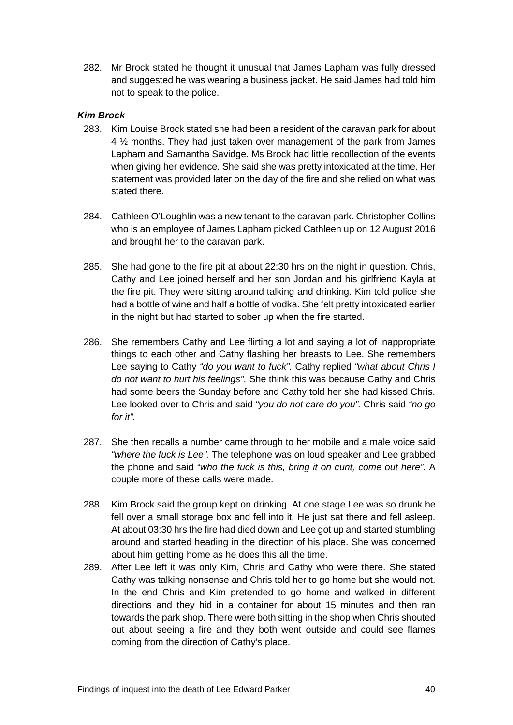282. Mr Brock stated he thought it unusual that James Lapham was fully dressed and suggested he was wearing a business jacket. He said James had told him not to speak to the police.

# <span id="page-42-0"></span>*Kim Brock*

- 283. Kim Louise Brock stated she had been a resident of the caravan park for about 4 ½ months. They had just taken over management of the park from James Lapham and Samantha Savidge. Ms Brock had little recollection of the events when giving her evidence. She said she was pretty intoxicated at the time. Her statement was provided later on the day of the fire and she relied on what was stated there.
- 284. Cathleen O'Loughlin was a new tenant to the caravan park. Christopher Collins who is an employee of James Lapham picked Cathleen up on 12 August 2016 and brought her to the caravan park.
- 285. She had gone to the fire pit at about 22:30 hrs on the night in question. Chris, Cathy and Lee joined herself and her son Jordan and his girlfriend Kayla at the fire pit. They were sitting around talking and drinking. Kim told police she had a bottle of wine and half a bottle of vodka. She felt pretty intoxicated earlier in the night but had started to sober up when the fire started.
- 286. She remembers Cathy and Lee flirting a lot and saying a lot of inappropriate things to each other and Cathy flashing her breasts to Lee. She remembers Lee saying to Cathy *"do you want to fuck".* Cathy replied *"what about Chris I do not want to hurt his feelings".* She think this was because Cathy and Chris had some beers the Sunday before and Cathy told her she had kissed Chris. Lee looked over to Chris and said *"you do not care do you".* Chris said *"no go for it".*
- 287. She then recalls a number came through to her mobile and a male voice said *"where the fuck is Lee".* The telephone was on loud speaker and Lee grabbed the phone and said *"who the fuck is this, bring it on cunt, come out here"*. A couple more of these calls were made.
- 288. Kim Brock said the group kept on drinking. At one stage Lee was so drunk he fell over a small storage box and fell into it. He just sat there and fell asleep. At about 03:30 hrs the fire had died down and Lee got up and started stumbling around and started heading in the direction of his place. She was concerned about him getting home as he does this all the time.
- 289. After Lee left it was only Kim, Chris and Cathy who were there. She stated Cathy was talking nonsense and Chris told her to go home but she would not. In the end Chris and Kim pretended to go home and walked in different directions and they hid in a container for about 15 minutes and then ran towards the park shop. There were both sitting in the shop when Chris shouted out about seeing a fire and they both went outside and could see flames coming from the direction of Cathy's place.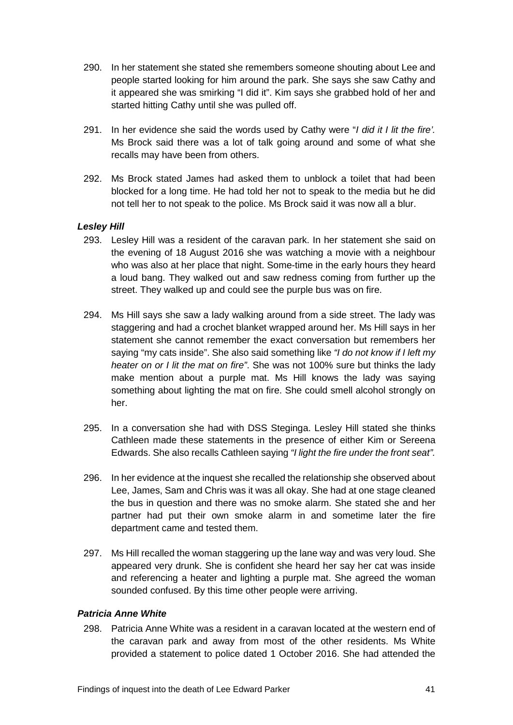- 290. In her statement she stated she remembers someone shouting about Lee and people started looking for him around the park. She says she saw Cathy and it appeared she was smirking "I did it". Kim says she grabbed hold of her and started hitting Cathy until she was pulled off.
- 291. In her evidence she said the words used by Cathy were "*I did it I lit the fire'.*  Ms Brock said there was a lot of talk going around and some of what she recalls may have been from others.
- 292. Ms Brock stated James had asked them to unblock a toilet that had been blocked for a long time. He had told her not to speak to the media but he did not tell her to not speak to the police. Ms Brock said it was now all a blur.

# <span id="page-43-0"></span>*Lesley Hill*

- 293. Lesley Hill was a resident of the caravan park. In her statement she said on the evening of 18 August 2016 she was watching a movie with a neighbour who was also at her place that night. Some-time in the early hours they heard a loud bang. They walked out and saw redness coming from further up the street. They walked up and could see the purple bus was on fire.
- 294. Ms Hill says she saw a lady walking around from a side street. The lady was staggering and had a crochet blanket wrapped around her. Ms Hill says in her statement she cannot remember the exact conversation but remembers her saying "my cats inside". She also said something like *"I do not know if I left my heater on or I lit the mat on fire"*. She was not 100% sure but thinks the lady make mention about a purple mat. Ms Hill knows the lady was saying something about lighting the mat on fire. She could smell alcohol strongly on her.
- 295. In a conversation she had with DSS Steginga. Lesley Hill stated she thinks Cathleen made these statements in the presence of either Kim or Sereena Edwards. She also recalls Cathleen saying *"I light the fire under the front seat".*
- 296. In her evidence at the inquest she recalled the relationship she observed about Lee, James, Sam and Chris was it was all okay. She had at one stage cleaned the bus in question and there was no smoke alarm. She stated she and her partner had put their own smoke alarm in and sometime later the fire department came and tested them.
- 297. Ms Hill recalled the woman staggering up the lane way and was very loud. She appeared very drunk. She is confident she heard her say her cat was inside and referencing a heater and lighting a purple mat. She agreed the woman sounded confused. By this time other people were arriving.

# <span id="page-43-1"></span>*Patricia Anne White*

298. Patricia Anne White was a resident in a caravan located at the western end of the caravan park and away from most of the other residents. Ms White provided a statement to police dated 1 October 2016. She had attended the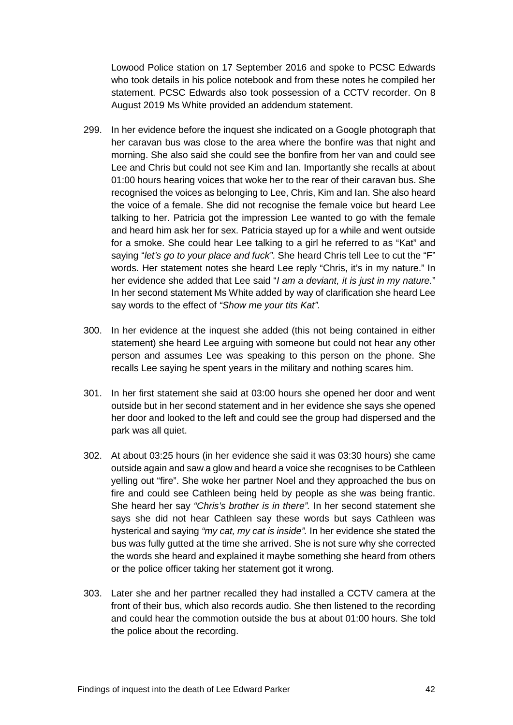Lowood Police station on 17 September 2016 and spoke to PCSC Edwards who took details in his police notebook and from these notes he compiled her statement. PCSC Edwards also took possession of a CCTV recorder. On 8 August 2019 Ms White provided an addendum statement.

- 299. In her evidence before the inquest she indicated on a Google photograph that her caravan bus was close to the area where the bonfire was that night and morning. She also said she could see the bonfire from her van and could see Lee and Chris but could not see Kim and Ian. Importantly she recalls at about 01:00 hours hearing voices that woke her to the rear of their caravan bus. She recognised the voices as belonging to Lee, Chris, Kim and Ian. She also heard the voice of a female. She did not recognise the female voice but heard Lee talking to her. Patricia got the impression Lee wanted to go with the female and heard him ask her for sex. Patricia stayed up for a while and went outside for a smoke. She could hear Lee talking to a girl he referred to as "Kat" and saying "*let's go to your place and fuck"*. She heard Chris tell Lee to cut the "F" words. Her statement notes she heard Lee reply "Chris, it's in my nature." In her evidence she added that Lee said "*I am a deviant, it is just in my nature.*" In her second statement Ms White added by way of clarification she heard Lee say words to the effect of *"Show me your tits Kat".*
- 300. In her evidence at the inquest she added (this not being contained in either statement) she heard Lee arguing with someone but could not hear any other person and assumes Lee was speaking to this person on the phone. She recalls Lee saying he spent years in the military and nothing scares him.
- 301. In her first statement she said at 03:00 hours she opened her door and went outside but in her second statement and in her evidence she says she opened her door and looked to the left and could see the group had dispersed and the park was all quiet.
- 302. At about 03:25 hours (in her evidence she said it was 03:30 hours) she came outside again and saw a glow and heard a voice she recognises to be Cathleen yelling out "fire". She woke her partner Noel and they approached the bus on fire and could see Cathleen being held by people as she was being frantic. She heard her say *"Chris's brother is in there".* In her second statement she says she did not hear Cathleen say these words but says Cathleen was hysterical and saying *"my cat, my cat is inside".* In her evidence she stated the bus was fully gutted at the time she arrived. She is not sure why she corrected the words she heard and explained it maybe something she heard from others or the police officer taking her statement got it wrong.
- 303. Later she and her partner recalled they had installed a CCTV camera at the front of their bus, which also records audio. She then listened to the recording and could hear the commotion outside the bus at about 01:00 hours. She told the police about the recording.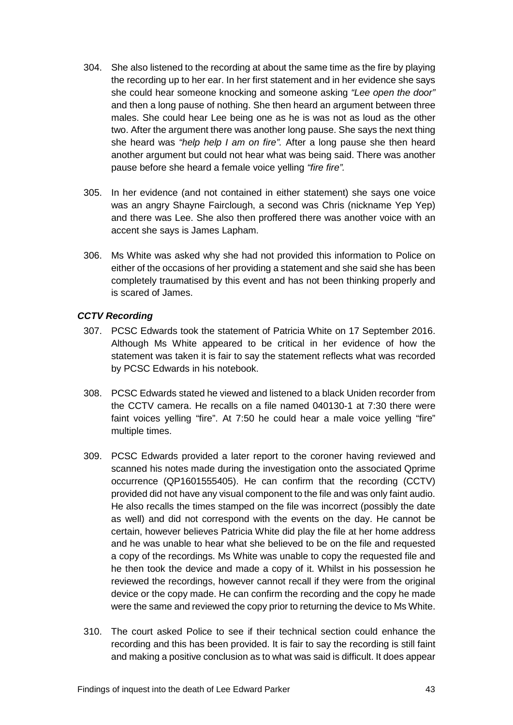- 304. She also listened to the recording at about the same time as the fire by playing the recording up to her ear. In her first statement and in her evidence she says she could hear someone knocking and someone asking *"Lee open the door"*  and then a long pause of nothing. She then heard an argument between three males. She could hear Lee being one as he is was not as loud as the other two. After the argument there was another long pause. She says the next thing she heard was *"help help I am on fire".* After a long pause she then heard another argument but could not hear what was being said. There was another pause before she heard a female voice yelling *"fire fire".*
- 305. In her evidence (and not contained in either statement) she says one voice was an angry Shayne Fairclough, a second was Chris (nickname Yep Yep) and there was Lee. She also then proffered there was another voice with an accent she says is James Lapham.
- 306. Ms White was asked why she had not provided this information to Police on either of the occasions of her providing a statement and she said she has been completely traumatised by this event and has not been thinking properly and is scared of James.

# <span id="page-45-0"></span>*CCTV Recording*

- 307. PCSC Edwards took the statement of Patricia White on 17 September 2016. Although Ms White appeared to be critical in her evidence of how the statement was taken it is fair to say the statement reflects what was recorded by PCSC Edwards in his notebook.
- 308. PCSC Edwards stated he viewed and listened to a black Uniden recorder from the CCTV camera. He recalls on a file named 040130-1 at 7:30 there were faint voices yelling "fire". At 7:50 he could hear a male voice yelling "fire" multiple times.
- 309. PCSC Edwards provided a later report to the coroner having reviewed and scanned his notes made during the investigation onto the associated Qprime occurrence (QP1601555405). He can confirm that the recording (CCTV) provided did not have any visual component to the file and was only faint audio. He also recalls the times stamped on the file was incorrect (possibly the date as well) and did not correspond with the events on the day. He cannot be certain, however believes Patricia White did play the file at her home address and he was unable to hear what she believed to be on the file and requested a copy of the recordings. Ms White was unable to copy the requested file and he then took the device and made a copy of it. Whilst in his possession he reviewed the recordings, however cannot recall if they were from the original device or the copy made. He can confirm the recording and the copy he made were the same and reviewed the copy prior to returning the device to Ms White.
- 310. The court asked Police to see if their technical section could enhance the recording and this has been provided. It is fair to say the recording is still faint and making a positive conclusion as to what was said is difficult. It does appear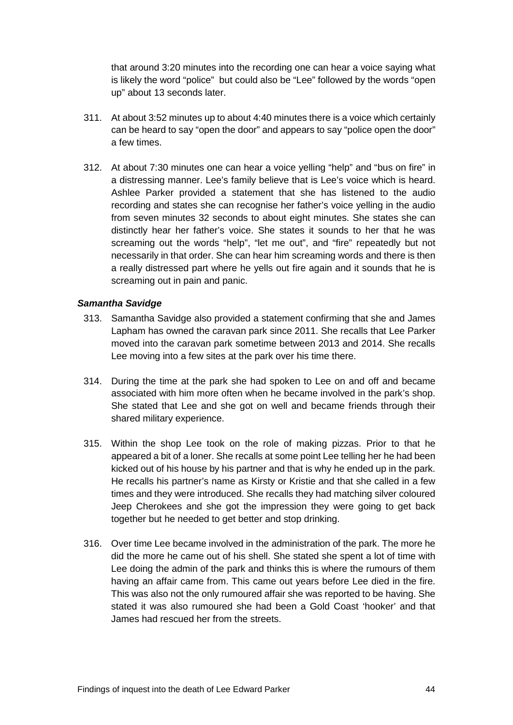that around 3:20 minutes into the recording one can hear a voice saying what is likely the word "police" but could also be "Lee" followed by the words "open up" about 13 seconds later.

- 311. At about 3:52 minutes up to about 4:40 minutes there is a voice which certainly can be heard to say "open the door" and appears to say "police open the door" a few times.
- 312. At about 7:30 minutes one can hear a voice yelling "help" and "bus on fire" in a distressing manner. Lee's family believe that is Lee's voice which is heard. Ashlee Parker provided a statement that she has listened to the audio recording and states she can recognise her father's voice yelling in the audio from seven minutes 32 seconds to about eight minutes. She states she can distinctly hear her father's voice. She states it sounds to her that he was screaming out the words "help", "let me out", and "fire" repeatedly but not necessarily in that order. She can hear him screaming words and there is then a really distressed part where he yells out fire again and it sounds that he is screaming out in pain and panic.

#### <span id="page-46-0"></span>*Samantha Savidge*

- 313. Samantha Savidge also provided a statement confirming that she and James Lapham has owned the caravan park since 2011. She recalls that Lee Parker moved into the caravan park sometime between 2013 and 2014. She recalls Lee moving into a few sites at the park over his time there.
- 314. During the time at the park she had spoken to Lee on and off and became associated with him more often when he became involved in the park's shop. She stated that Lee and she got on well and became friends through their shared military experience.
- 315. Within the shop Lee took on the role of making pizzas. Prior to that he appeared a bit of a loner. She recalls at some point Lee telling her he had been kicked out of his house by his partner and that is why he ended up in the park. He recalls his partner's name as Kirsty or Kristie and that she called in a few times and they were introduced. She recalls they had matching silver coloured Jeep Cherokees and she got the impression they were going to get back together but he needed to get better and stop drinking.
- 316. Over time Lee became involved in the administration of the park. The more he did the more he came out of his shell. She stated she spent a lot of time with Lee doing the admin of the park and thinks this is where the rumours of them having an affair came from. This came out years before Lee died in the fire. This was also not the only rumoured affair she was reported to be having. She stated it was also rumoured she had been a Gold Coast 'hooker' and that James had rescued her from the streets.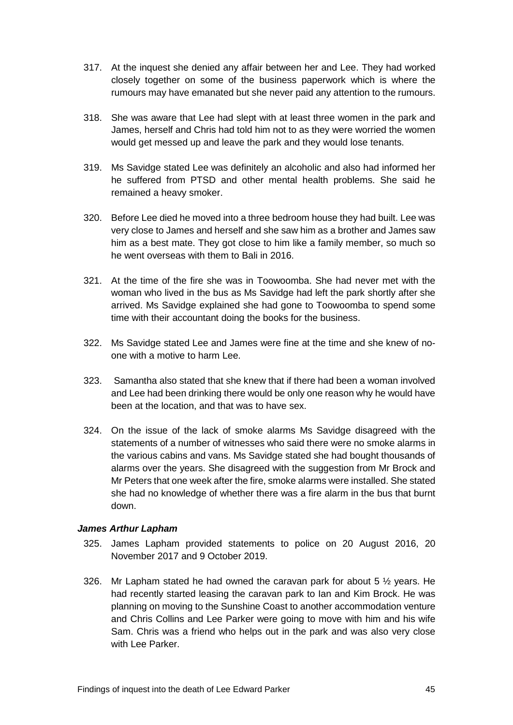- 317. At the inquest she denied any affair between her and Lee. They had worked closely together on some of the business paperwork which is where the rumours may have emanated but she never paid any attention to the rumours.
- 318. She was aware that Lee had slept with at least three women in the park and James, herself and Chris had told him not to as they were worried the women would get messed up and leave the park and they would lose tenants.
- 319. Ms Savidge stated Lee was definitely an alcoholic and also had informed her he suffered from PTSD and other mental health problems. She said he remained a heavy smoker.
- 320. Before Lee died he moved into a three bedroom house they had built. Lee was very close to James and herself and she saw him as a brother and James saw him as a best mate. They got close to him like a family member, so much so he went overseas with them to Bali in 2016.
- 321. At the time of the fire she was in Toowoomba. She had never met with the woman who lived in the bus as Ms Savidge had left the park shortly after she arrived. Ms Savidge explained she had gone to Toowoomba to spend some time with their accountant doing the books for the business.
- 322. Ms Savidge stated Lee and James were fine at the time and she knew of noone with a motive to harm Lee.
- 323. Samantha also stated that she knew that if there had been a woman involved and Lee had been drinking there would be only one reason why he would have been at the location, and that was to have sex.
- 324. On the issue of the lack of smoke alarms Ms Savidge disagreed with the statements of a number of witnesses who said there were no smoke alarms in the various cabins and vans. Ms Savidge stated she had bought thousands of alarms over the years. She disagreed with the suggestion from Mr Brock and Mr Peters that one week after the fire, smoke alarms were installed. She stated she had no knowledge of whether there was a fire alarm in the bus that burnt down.

# <span id="page-47-0"></span>*James Arthur Lapham*

- 325. James Lapham provided statements to police on 20 August 2016, 20 November 2017 and 9 October 2019.
- 326. Mr Lapham stated he had owned the caravan park for about 5  $\frac{1}{2}$  years. He had recently started leasing the caravan park to Ian and Kim Brock. He was planning on moving to the Sunshine Coast to another accommodation venture and Chris Collins and Lee Parker were going to move with him and his wife Sam. Chris was a friend who helps out in the park and was also very close with Lee Parker.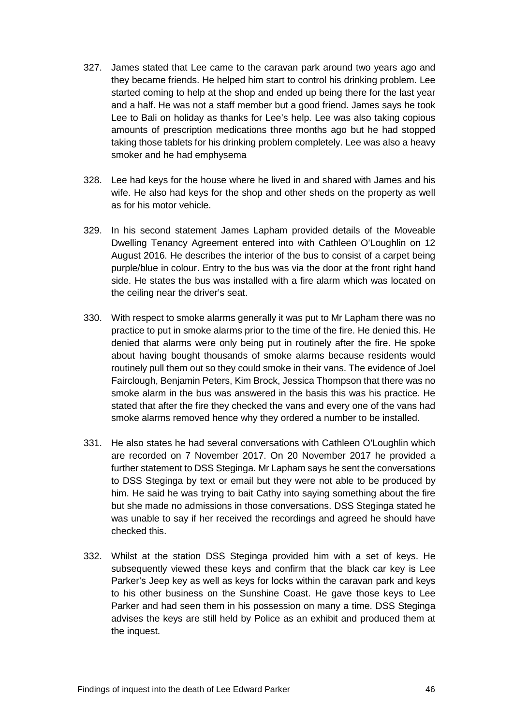- 327. James stated that Lee came to the caravan park around two years ago and they became friends. He helped him start to control his drinking problem. Lee started coming to help at the shop and ended up being there for the last year and a half. He was not a staff member but a good friend. James says he took Lee to Bali on holiday as thanks for Lee's help. Lee was also taking copious amounts of prescription medications three months ago but he had stopped taking those tablets for his drinking problem completely. Lee was also a heavy smoker and he had emphysema
- 328. Lee had keys for the house where he lived in and shared with James and his wife. He also had keys for the shop and other sheds on the property as well as for his motor vehicle.
- 329. In his second statement James Lapham provided details of the Moveable Dwelling Tenancy Agreement entered into with Cathleen O'Loughlin on 12 August 2016. He describes the interior of the bus to consist of a carpet being purple/blue in colour. Entry to the bus was via the door at the front right hand side. He states the bus was installed with a fire alarm which was located on the ceiling near the driver's seat.
- 330. With respect to smoke alarms generally it was put to Mr Lapham there was no practice to put in smoke alarms prior to the time of the fire. He denied this. He denied that alarms were only being put in routinely after the fire. He spoke about having bought thousands of smoke alarms because residents would routinely pull them out so they could smoke in their vans. The evidence of Joel Fairclough, Benjamin Peters, Kim Brock, Jessica Thompson that there was no smoke alarm in the bus was answered in the basis this was his practice. He stated that after the fire they checked the vans and every one of the vans had smoke alarms removed hence why they ordered a number to be installed.
- 331. He also states he had several conversations with Cathleen O'Loughlin which are recorded on 7 November 2017. On 20 November 2017 he provided a further statement to DSS Steginga. Mr Lapham says he sent the conversations to DSS Steginga by text or email but they were not able to be produced by him. He said he was trying to bait Cathy into saying something about the fire but she made no admissions in those conversations. DSS Steginga stated he was unable to say if her received the recordings and agreed he should have checked this.
- 332. Whilst at the station DSS Steginga provided him with a set of keys. He subsequently viewed these keys and confirm that the black car key is Lee Parker's Jeep key as well as keys for locks within the caravan park and keys to his other business on the Sunshine Coast. He gave those keys to Lee Parker and had seen them in his possession on many a time. DSS Steginga advises the keys are still held by Police as an exhibit and produced them at the inquest.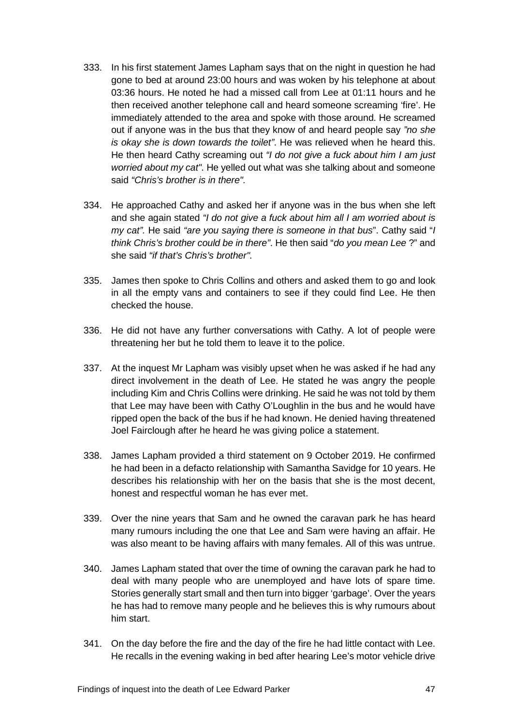- 333. In his first statement James Lapham says that on the night in question he had gone to bed at around 23:00 hours and was woken by his telephone at about 03:36 hours. He noted he had a missed call from Lee at 01:11 hours and he then received another telephone call and heard someone screaming 'fire'. He immediately attended to the area and spoke with those around. He screamed out if anyone was in the bus that they know of and heard people say *"no she is okay she is down towards the toilet"*. He was relieved when he heard this. He then heard Cathy screaming out *"I do not give a fuck about him I am just worried about my cat".* He yelled out what was she talking about and someone said *"Chris's brother is in there".*
- 334. He approached Cathy and asked her if anyone was in the bus when she left and she again stated *"I do not give a fuck about him all I am worried about is my cat".* He said *"are you saying there is someone in that bus*". Cathy said "*I think Chris's brother could be in there"*. He then said "*do you mean Lee* ?" and she said *"if that's Chris's brother".*
- 335. James then spoke to Chris Collins and others and asked them to go and look in all the empty vans and containers to see if they could find Lee. He then checked the house.
- 336. He did not have any further conversations with Cathy. A lot of people were threatening her but he told them to leave it to the police.
- 337. At the inquest Mr Lapham was visibly upset when he was asked if he had any direct involvement in the death of Lee. He stated he was angry the people including Kim and Chris Collins were drinking. He said he was not told by them that Lee may have been with Cathy O'Loughlin in the bus and he would have ripped open the back of the bus if he had known. He denied having threatened Joel Fairclough after he heard he was giving police a statement.
- 338. James Lapham provided a third statement on 9 October 2019. He confirmed he had been in a defacto relationship with Samantha Savidge for 10 years. He describes his relationship with her on the basis that she is the most decent, honest and respectful woman he has ever met.
- 339. Over the nine years that Sam and he owned the caravan park he has heard many rumours including the one that Lee and Sam were having an affair. He was also meant to be having affairs with many females. All of this was untrue.
- 340. James Lapham stated that over the time of owning the caravan park he had to deal with many people who are unemployed and have lots of spare time. Stories generally start small and then turn into bigger 'garbage'. Over the years he has had to remove many people and he believes this is why rumours about him start.
- 341. On the day before the fire and the day of the fire he had little contact with Lee. He recalls in the evening waking in bed after hearing Lee's motor vehicle drive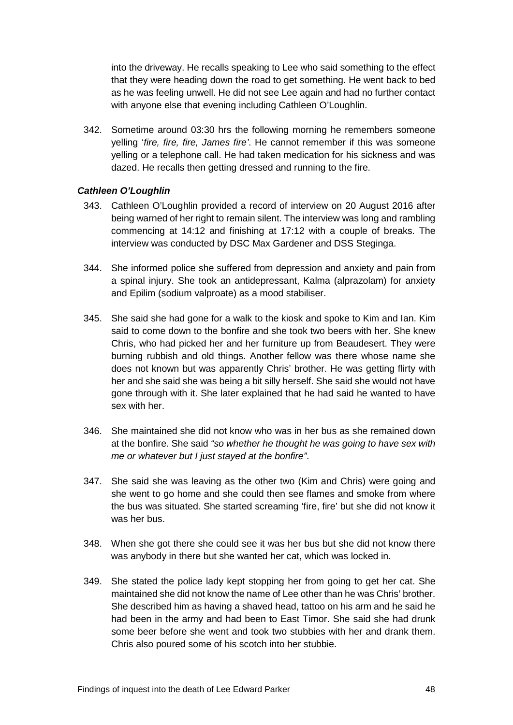into the driveway. He recalls speaking to Lee who said something to the effect that they were heading down the road to get something. He went back to bed as he was feeling unwell. He did not see Lee again and had no further contact with anyone else that evening including Cathleen O'Loughlin.

342. Sometime around 03:30 hrs the following morning he remembers someone yelling '*fire, fire, fire, James fire'*. He cannot remember if this was someone yelling or a telephone call. He had taken medication for his sickness and was dazed. He recalls then getting dressed and running to the fire.

# <span id="page-50-0"></span>*Cathleen O'Loughlin*

- 343. Cathleen O'Loughlin provided a record of interview on 20 August 2016 after being warned of her right to remain silent. The interview was long and rambling commencing at 14:12 and finishing at 17:12 with a couple of breaks. The interview was conducted by DSC Max Gardener and DSS Steginga.
- 344. She informed police she suffered from depression and anxiety and pain from a spinal injury. She took an antidepressant, Kalma (alprazolam) for anxiety and Epilim (sodium valproate) as a mood stabiliser.
- 345. She said she had gone for a walk to the kiosk and spoke to Kim and Ian. Kim said to come down to the bonfire and she took two beers with her. She knew Chris, who had picked her and her furniture up from Beaudesert. They were burning rubbish and old things. Another fellow was there whose name she does not known but was apparently Chris' brother. He was getting flirty with her and she said she was being a bit silly herself. She said she would not have gone through with it. She later explained that he had said he wanted to have sex with her.
- 346. She maintained she did not know who was in her bus as she remained down at the bonfire. She said *"so whether he thought he was going to have sex with me or whatever but I just stayed at the bonfire"*.
- 347. She said she was leaving as the other two (Kim and Chris) were going and she went to go home and she could then see flames and smoke from where the bus was situated. She started screaming 'fire, fire' but she did not know it was her bus.
- 348. When she got there she could see it was her bus but she did not know there was anybody in there but she wanted her cat, which was locked in.
- 349. She stated the police lady kept stopping her from going to get her cat. She maintained she did not know the name of Lee other than he was Chris' brother. She described him as having a shaved head, tattoo on his arm and he said he had been in the army and had been to East Timor. She said she had drunk some beer before she went and took two stubbies with her and drank them. Chris also poured some of his scotch into her stubbie.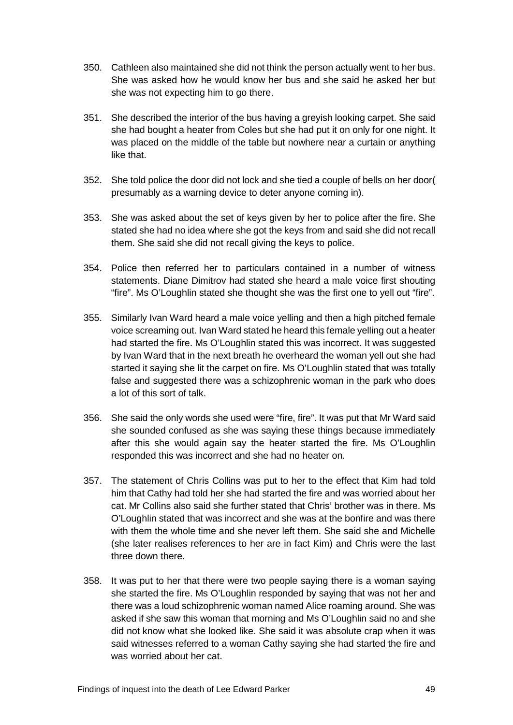- 350. Cathleen also maintained she did not think the person actually went to her bus. She was asked how he would know her bus and she said he asked her but she was not expecting him to go there.
- 351. She described the interior of the bus having a greyish looking carpet. She said she had bought a heater from Coles but she had put it on only for one night. It was placed on the middle of the table but nowhere near a curtain or anything like that.
- 352. She told police the door did not lock and she tied a couple of bells on her door( presumably as a warning device to deter anyone coming in).
- 353. She was asked about the set of keys given by her to police after the fire. She stated she had no idea where she got the keys from and said she did not recall them. She said she did not recall giving the keys to police.
- 354. Police then referred her to particulars contained in a number of witness statements. Diane Dimitrov had stated she heard a male voice first shouting "fire". Ms O'Loughlin stated she thought she was the first one to yell out "fire".
- 355. Similarly Ivan Ward heard a male voice yelling and then a high pitched female voice screaming out. Ivan Ward stated he heard this female yelling out a heater had started the fire. Ms O'Loughlin stated this was incorrect. It was suggested by Ivan Ward that in the next breath he overheard the woman yell out she had started it saying she lit the carpet on fire. Ms O'Loughlin stated that was totally false and suggested there was a schizophrenic woman in the park who does a lot of this sort of talk.
- 356. She said the only words she used were "fire, fire". It was put that Mr Ward said she sounded confused as she was saying these things because immediately after this she would again say the heater started the fire. Ms O'Loughlin responded this was incorrect and she had no heater on.
- 357. The statement of Chris Collins was put to her to the effect that Kim had told him that Cathy had told her she had started the fire and was worried about her cat. Mr Collins also said she further stated that Chris' brother was in there. Ms O'Loughlin stated that was incorrect and she was at the bonfire and was there with them the whole time and she never left them. She said she and Michelle (she later realises references to her are in fact Kim) and Chris were the last three down there.
- 358. It was put to her that there were two people saying there is a woman saying she started the fire. Ms O'Loughlin responded by saying that was not her and there was a loud schizophrenic woman named Alice roaming around. She was asked if she saw this woman that morning and Ms O'Loughlin said no and she did not know what she looked like. She said it was absolute crap when it was said witnesses referred to a woman Cathy saying she had started the fire and was worried about her cat.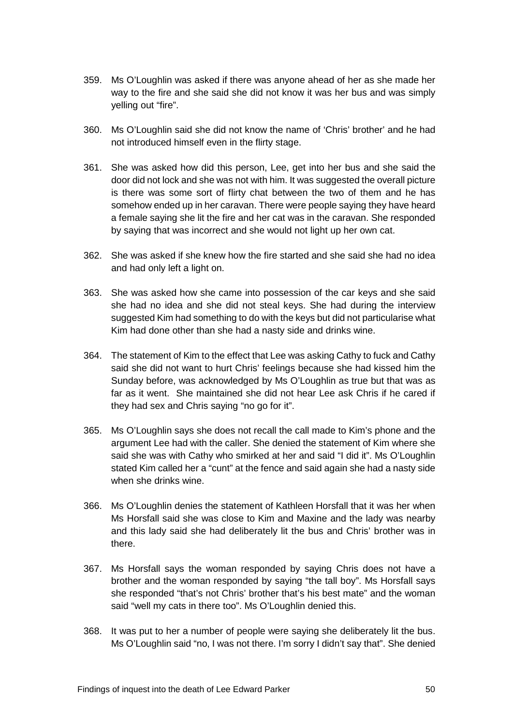- 359. Ms O'Loughlin was asked if there was anyone ahead of her as she made her way to the fire and she said she did not know it was her bus and was simply yelling out "fire".
- 360. Ms O'Loughlin said she did not know the name of 'Chris' brother' and he had not introduced himself even in the flirty stage.
- 361. She was asked how did this person, Lee, get into her bus and she said the door did not lock and she was not with him. It was suggested the overall picture is there was some sort of flirty chat between the two of them and he has somehow ended up in her caravan. There were people saying they have heard a female saying she lit the fire and her cat was in the caravan. She responded by saying that was incorrect and she would not light up her own cat.
- 362. She was asked if she knew how the fire started and she said she had no idea and had only left a light on.
- 363. She was asked how she came into possession of the car keys and she said she had no idea and she did not steal keys. She had during the interview suggested Kim had something to do with the keys but did not particularise what Kim had done other than she had a nasty side and drinks wine.
- 364. The statement of Kim to the effect that Lee was asking Cathy to fuck and Cathy said she did not want to hurt Chris' feelings because she had kissed him the Sunday before, was acknowledged by Ms O'Loughlin as true but that was as far as it went. She maintained she did not hear Lee ask Chris if he cared if they had sex and Chris saying "no go for it".
- 365. Ms O'Loughlin says she does not recall the call made to Kim's phone and the argument Lee had with the caller. She denied the statement of Kim where she said she was with Cathy who smirked at her and said "I did it". Ms O'Loughlin stated Kim called her a "cunt" at the fence and said again she had a nasty side when she drinks wine.
- 366. Ms O'Loughlin denies the statement of Kathleen Horsfall that it was her when Ms Horsfall said she was close to Kim and Maxine and the lady was nearby and this lady said she had deliberately lit the bus and Chris' brother was in there.
- 367. Ms Horsfall says the woman responded by saying Chris does not have a brother and the woman responded by saying "the tall boy". Ms Horsfall says she responded "that's not Chris' brother that's his best mate" and the woman said "well my cats in there too". Ms O'Loughlin denied this.
- 368. It was put to her a number of people were saying she deliberately lit the bus. Ms O'Loughlin said "no, I was not there. I'm sorry I didn't say that". She denied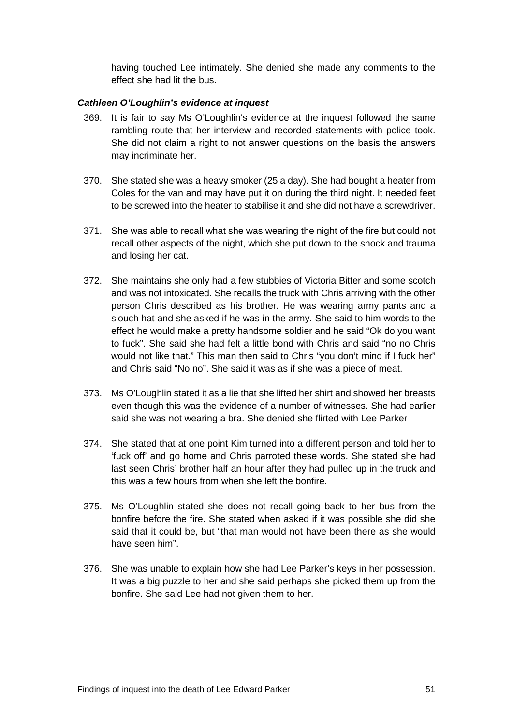having touched Lee intimately. She denied she made any comments to the effect she had lit the bus.

#### <span id="page-53-0"></span>*Cathleen O'Loughlin's evidence at inquest*

- 369. It is fair to say Ms O'Loughlin's evidence at the inquest followed the same rambling route that her interview and recorded statements with police took. She did not claim a right to not answer questions on the basis the answers may incriminate her.
- 370. She stated she was a heavy smoker (25 a day). She had bought a heater from Coles for the van and may have put it on during the third night. It needed feet to be screwed into the heater to stabilise it and she did not have a screwdriver.
- 371. She was able to recall what she was wearing the night of the fire but could not recall other aspects of the night, which she put down to the shock and trauma and losing her cat.
- 372. She maintains she only had a few stubbies of Victoria Bitter and some scotch and was not intoxicated. She recalls the truck with Chris arriving with the other person Chris described as his brother. He was wearing army pants and a slouch hat and she asked if he was in the army. She said to him words to the effect he would make a pretty handsome soldier and he said "Ok do you want to fuck". She said she had felt a little bond with Chris and said "no no Chris would not like that." This man then said to Chris "you don't mind if I fuck her" and Chris said "No no". She said it was as if she was a piece of meat.
- 373. Ms O'Loughlin stated it as a lie that she lifted her shirt and showed her breasts even though this was the evidence of a number of witnesses. She had earlier said she was not wearing a bra. She denied she flirted with Lee Parker
- 374. She stated that at one point Kim turned into a different person and told her to 'fuck off' and go home and Chris parroted these words. She stated she had last seen Chris' brother half an hour after they had pulled up in the truck and this was a few hours from when she left the bonfire.
- 375. Ms O'Loughlin stated she does not recall going back to her bus from the bonfire before the fire. She stated when asked if it was possible she did she said that it could be, but "that man would not have been there as she would have seen him".
- 376. She was unable to explain how she had Lee Parker's keys in her possession. It was a big puzzle to her and she said perhaps she picked them up from the bonfire. She said Lee had not given them to her.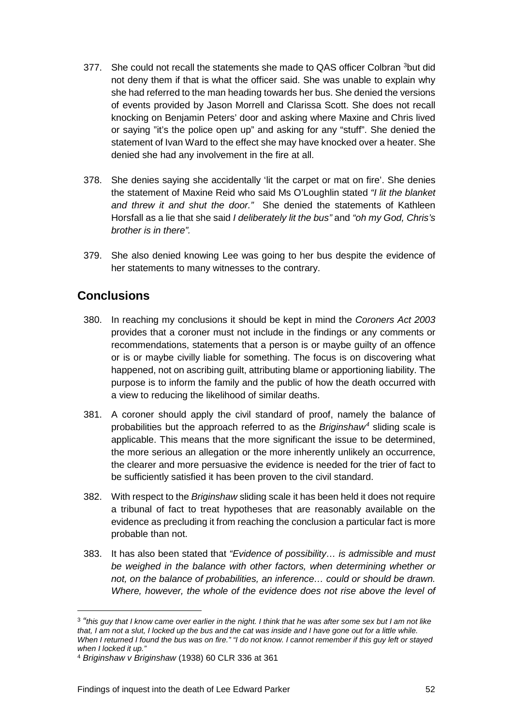- [3](#page-54-1)77. She could not recall the statements she made to QAS officer Colbran <sup>3</sup>but did not deny them if that is what the officer said. She was unable to explain why she had referred to the man heading towards her bus. She denied the versions of events provided by Jason Morrell and Clarissa Scott. She does not recall knocking on Benjamin Peters' door and asking where Maxine and Chris lived or saying "it's the police open up" and asking for any "stuff". She denied the statement of Ivan Ward to the effect she may have knocked over a heater. She denied she had any involvement in the fire at all.
- 378. She denies saying she accidentally 'lit the carpet or mat on fire'. She denies the statement of Maxine Reid who said Ms O'Loughlin stated *"I lit the blanket and threw it and shut the door."* She denied the statements of Kathleen Horsfall as a lie that she said *I deliberately lit the bus"* and *"oh my God, Chris's brother is in there".*
- 379. She also denied knowing Lee was going to her bus despite the evidence of her statements to many witnesses to the contrary.

# <span id="page-54-0"></span>**Conclusions**

 $\overline{a}$ 

- 380. In reaching my conclusions it should be kept in mind the *Coroners Act 2003*  provides that a coroner must not include in the findings or any comments or recommendations, statements that a person is or maybe guilty of an offence or is or maybe civilly liable for something. The focus is on discovering what happened, not on ascribing guilt, attributing blame or apportioning liability. The purpose is to inform the family and the public of how the death occurred with a view to reducing the likelihood of similar deaths.
- 381. A coroner should apply the civil standard of proof, namely the balance of probabilities but the approach referred to as the *Briginshaw[4](#page-54-2)* sliding scale is applicable. This means that the more significant the issue to be determined, the more serious an allegation or the more inherently unlikely an occurrence, the clearer and more persuasive the evidence is needed for the trier of fact to be sufficiently satisfied it has been proven to the civil standard.
- 382. With respect to the *Briginshaw* sliding scale it has been held it does not require a tribunal of fact to treat hypotheses that are reasonably available on the evidence as precluding it from reaching the conclusion a particular fact is more probable than not.
- 383. It has also been stated that *"Evidence of possibility… is admissible and must be weighed in the balance with other factors, when determining whether or not, on the balance of probabilities, an inference… could or should be drawn. Where, however, the whole of the evidence does not rise above the level of*

<span id="page-54-1"></span><sup>3</sup> *"this guy that I know came over earlier in the night. I think that he was after some sex but I am not like that, I am not a slut, I locked up the bus and the cat was inside and I have gone out for a little while. When I returned I found the bus was on fire." "I do not know. I cannot remember if this guy left or stayed when I locked it up."*

<span id="page-54-2"></span><sup>4</sup> *Briginshaw v Briginshaw* (1938) 60 CLR 336 at 361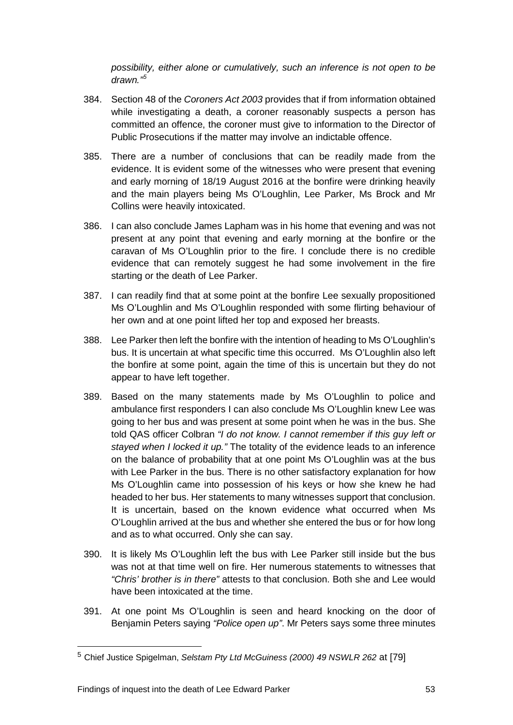*possibility, either alone or cumulatively, such an inference is not open to be drawn."[5](#page-55-0)*

- 384. Section 48 of the *Coroners Act 2003* provides that if from information obtained while investigating a death, a coroner reasonably suspects a person has committed an offence, the coroner must give to information to the Director of Public Prosecutions if the matter may involve an indictable offence.
- 385. There are a number of conclusions that can be readily made from the evidence. It is evident some of the witnesses who were present that evening and early morning of 18/19 August 2016 at the bonfire were drinking heavily and the main players being Ms O'Loughlin, Lee Parker, Ms Brock and Mr Collins were heavily intoxicated.
- 386. I can also conclude James Lapham was in his home that evening and was not present at any point that evening and early morning at the bonfire or the caravan of Ms O'Loughlin prior to the fire. I conclude there is no credible evidence that can remotely suggest he had some involvement in the fire starting or the death of Lee Parker.
- 387. I can readily find that at some point at the bonfire Lee sexually propositioned Ms O'Loughlin and Ms O'Loughlin responded with some flirting behaviour of her own and at one point lifted her top and exposed her breasts.
- 388. Lee Parker then left the bonfire with the intention of heading to Ms O'Loughlin's bus. It is uncertain at what specific time this occurred. Ms O'Loughlin also left the bonfire at some point, again the time of this is uncertain but they do not appear to have left together.
- 389. Based on the many statements made by Ms O'Loughlin to police and ambulance first responders I can also conclude Ms O'Loughlin knew Lee was going to her bus and was present at some point when he was in the bus. She told QAS officer Colbran *"I do not know. I cannot remember if this guy left or stayed when I locked it up."* The totality of the evidence leads to an inference on the balance of probability that at one point Ms O'Loughlin was at the bus with Lee Parker in the bus. There is no other satisfactory explanation for how Ms O'Loughlin came into possession of his keys or how she knew he had headed to her bus. Her statements to many witnesses support that conclusion. It is uncertain, based on the known evidence what occurred when Ms O'Loughlin arrived at the bus and whether she entered the bus or for how long and as to what occurred. Only she can say.
- 390. It is likely Ms O'Loughlin left the bus with Lee Parker still inside but the bus was not at that time well on fire. Her numerous statements to witnesses that *"Chris' brother is in there"* attests to that conclusion. Both she and Lee would have been intoxicated at the time.
- 391. At one point Ms O'Loughlin is seen and heard knocking on the door of Benjamin Peters saying *"Police open up"*. Mr Peters says some three minutes

 $\overline{a}$ 

<span id="page-55-0"></span><sup>5</sup> Chief Justice Spigelman, *Selstam Pty Ltd McGuiness (2000) 49 NSWLR 262* at [79]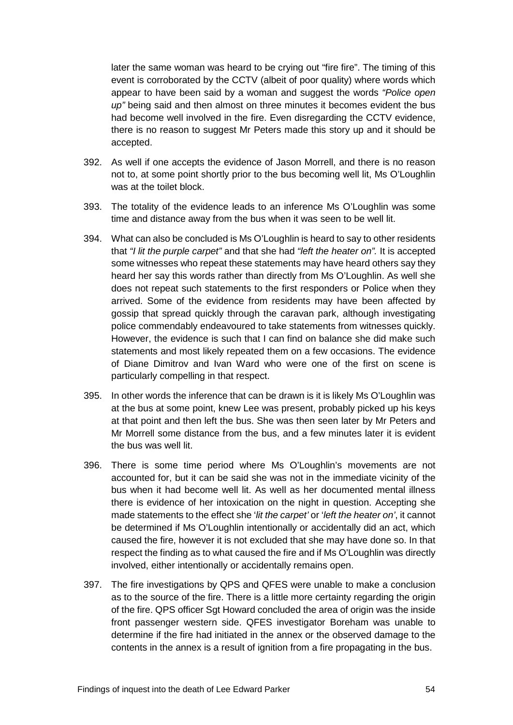later the same woman was heard to be crying out "fire fire". The timing of this event is corroborated by the CCTV (albeit of poor quality) where words which appear to have been said by a woman and suggest the words *"Police open up"* being said and then almost on three minutes it becomes evident the bus had become well involved in the fire. Even disregarding the CCTV evidence, there is no reason to suggest Mr Peters made this story up and it should be accepted.

- 392. As well if one accepts the evidence of Jason Morrell, and there is no reason not to, at some point shortly prior to the bus becoming well lit, Ms O'Loughlin was at the toilet block.
- 393. The totality of the evidence leads to an inference Ms O'Loughlin was some time and distance away from the bus when it was seen to be well lit.
- 394. What can also be concluded is Ms O'Loughlin is heard to say to other residents that *"I lit the purple carpet"* and that she had *"left the heater on".* It is accepted some witnesses who repeat these statements may have heard others say they heard her say this words rather than directly from Ms O'Loughlin. As well she does not repeat such statements to the first responders or Police when they arrived. Some of the evidence from residents may have been affected by gossip that spread quickly through the caravan park, although investigating police commendably endeavoured to take statements from witnesses quickly. However, the evidence is such that I can find on balance she did make such statements and most likely repeated them on a few occasions. The evidence of Diane Dimitrov and Ivan Ward who were one of the first on scene is particularly compelling in that respect.
- 395. In other words the inference that can be drawn is it is likely Ms O'Loughlin was at the bus at some point, knew Lee was present, probably picked up his keys at that point and then left the bus. She was then seen later by Mr Peters and Mr Morrell some distance from the bus, and a few minutes later it is evident the bus was well lit.
- 396. There is some time period where Ms O'Loughlin's movements are not accounted for, but it can be said she was not in the immediate vicinity of the bus when it had become well lit. As well as her documented mental illness there is evidence of her intoxication on the night in question. Accepting she made statements to the effect she '*lit the carpet'* or '*left the heater on'*, it cannot be determined if Ms O'Loughlin intentionally or accidentally did an act, which caused the fire, however it is not excluded that she may have done so. In that respect the finding as to what caused the fire and if Ms O'Loughlin was directly involved, either intentionally or accidentally remains open.
- 397. The fire investigations by QPS and QFES were unable to make a conclusion as to the source of the fire. There is a little more certainty regarding the origin of the fire. QPS officer Sgt Howard concluded the area of origin was the inside front passenger western side. QFES investigator Boreham was unable to determine if the fire had initiated in the annex or the observed damage to the contents in the annex is a result of ignition from a fire propagating in the bus.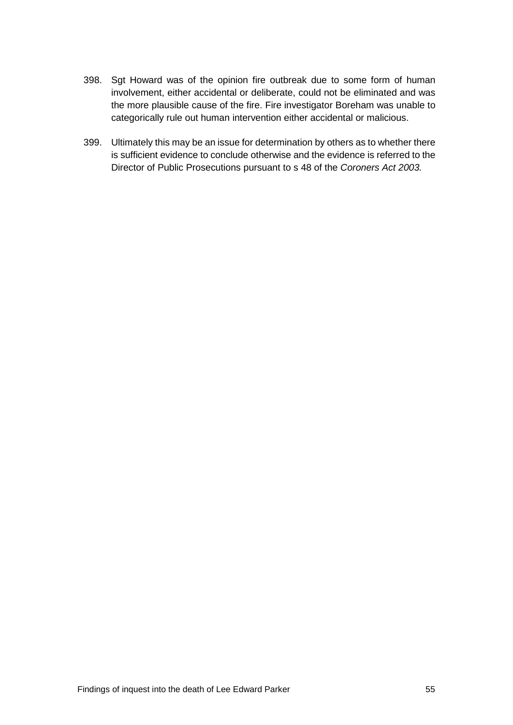- 398. Sgt Howard was of the opinion fire outbreak due to some form of human involvement, either accidental or deliberate, could not be eliminated and was the more plausible cause of the fire. Fire investigator Boreham was unable to categorically rule out human intervention either accidental or malicious.
- <span id="page-57-0"></span>399. Ultimately this may be an issue for determination by others as to whether there is sufficient evidence to conclude otherwise and the evidence is referred to the Director of Public Prosecutions pursuant to s 48 of the *Coroners Act 2003.*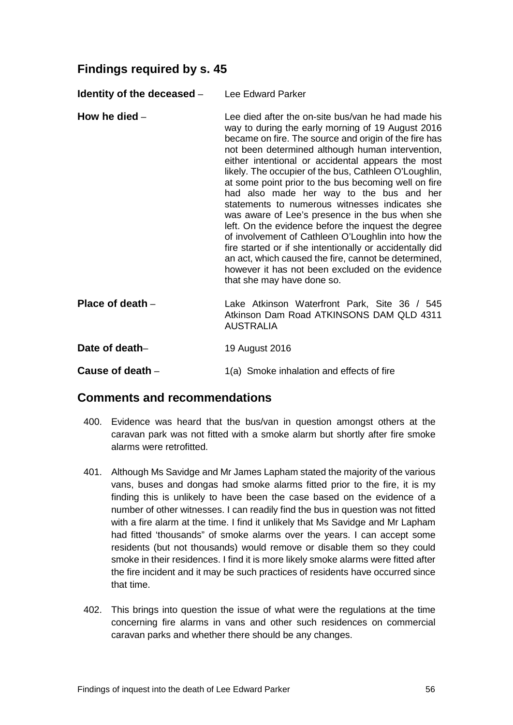# **Findings required by s. 45**

<span id="page-58-0"></span>**Identity of the deceased** – Lee Edward Parker

- <span id="page-58-1"></span>**How he died** – Lee died after the on-site bus/van he had made his way to during the early morning of 19 August 2016 became on fire. The source and origin of the fire has not been determined although human intervention, either intentional or accidental appears the most likely. The occupier of the bus, Cathleen O'Loughlin, at some point prior to the bus becoming well on fire had also made her way to the bus and her statements to numerous witnesses indicates she was aware of Lee's presence in the bus when she left. On the evidence before the inquest the degree of involvement of Cathleen O'Loughlin into how the fire started or if she intentionally or accidentally did an act, which caused the fire, cannot be determined, however it has not been excluded on the evidence that she may have done so.
- <span id="page-58-2"></span>**Place of death** – Lake Atkinson Waterfront Park, Site 36 / 545 Atkinson Dam Road ATKINSONS DAM QLD 4311 AUSTRALIA
- <span id="page-58-3"></span>**Date of death–** 19 August 2016

<span id="page-58-5"></span><span id="page-58-4"></span>**Cause of death** – 1(a) Smoke inhalation and effects of fire

# **Comments and recommendations**

- 400. Evidence was heard that the bus/van in question amongst others at the caravan park was not fitted with a smoke alarm but shortly after fire smoke alarms were retrofitted.
- 401. Although Ms Savidge and Mr James Lapham stated the majority of the various vans, buses and dongas had smoke alarms fitted prior to the fire, it is my finding this is unlikely to have been the case based on the evidence of a number of other witnesses. I can readily find the bus in question was not fitted with a fire alarm at the time. I find it unlikely that Ms Savidge and Mr Lapham had fitted 'thousands" of smoke alarms over the years. I can accept some residents (but not thousands) would remove or disable them so they could smoke in their residences. I find it is more likely smoke alarms were fitted after the fire incident and it may be such practices of residents have occurred since that time.
- 402. This brings into question the issue of what were the regulations at the time concerning fire alarms in vans and other such residences on commercial caravan parks and whether there should be any changes.